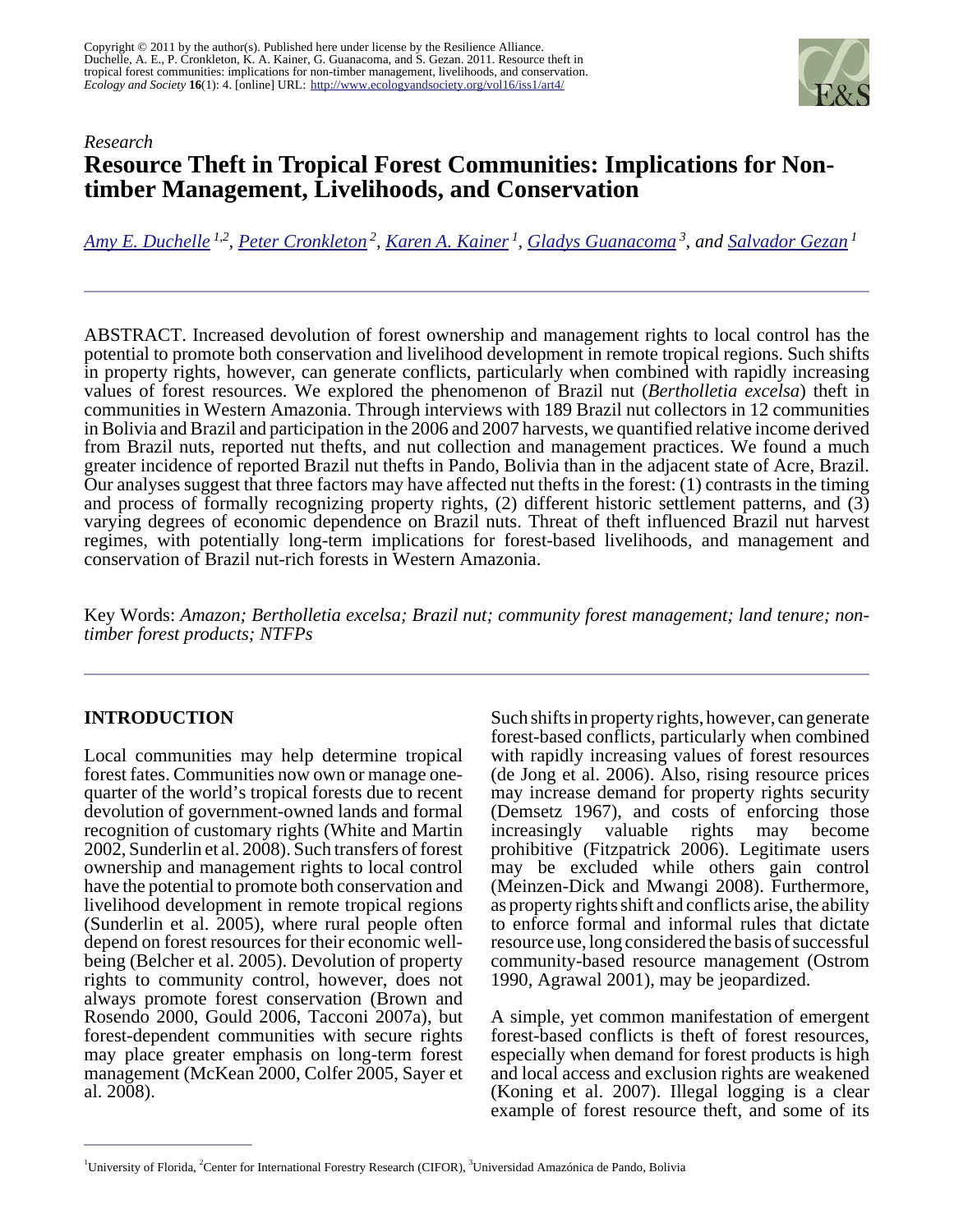

# *Research* **Resource Theft in Tropical Forest Communities: Implications for Nontimber Management, Livelihoods, and Conservation**

*[Amy E. Duchelle](mailto:a.duchelle@cgiar.org) 1,2 , [Peter Cronkleton](mailto:p.cronkleton@cgiar.org)<sup>2</sup> , [Karen A. Kainer](mailto:kkainer@ufl.edu)<sup>1</sup> , [Gladys Guanacoma](mailto:gladysita_gg@yahoo.com)<sup>3</sup>, and [Salvador Gezan](mailto:sgezan@ufl.edu)<sup>1</sup>*

ABSTRACT. Increased devolution of forest ownership and management rights to local control has the potential to promote both conservation and livelihood development in remote tropical regions. Such shifts in property rights, however, can generate conflicts, particularly when combined with rapidly increasing values of forest resources. We explored the phenomenon of Brazil nut (*Bertholletia excelsa*) theft in communities in Western Amazonia. Through interviews with 189 Brazil nut collectors in 12 communities in Bolivia and Brazil and participation in the 2006 and 2007 harvests, we quantified relative income derived from Brazil nuts, reported nut thefts, and nut collection and management practices. We found a much greater incidence of reported Brazil nut thefts in Pando, Bolivia than in the adjacent state of Acre, Brazil. Our analyses suggest that three factors may have affected nut thefts in the forest: (1) contrasts in the timing and process of formally recognizing property rights, (2) different historic settlement patterns, and (3) varying degrees of economic dependence on Brazil nuts. Threat of theft influenced Brazil nut harvest regimes, with potentially long-term implications for forest-based livelihoods, and management and conservation of Brazil nut-rich forests in Western Amazonia.

Key Words: *Amazon; Bertholletia excelsa; Brazil nut; community forest management; land tenure; nontimber forest products; NTFPs* 

## **INTRODUCTION**

Local communities may help determine tropical forest fates. Communities now own or manage onequarter of the world's tropical forests due to recent devolution of government-owned lands and formal recognition of customary rights (White and Martin 2002, Sunderlin et al. 2008). Such transfers of forest ownership and management rights to local control have the potential to promote both conservation and livelihood development in remote tropical regions (Sunderlin et al. 2005), where rural people often depend on forest resources for their economic wellbeing (Belcher et al. 2005). Devolution of property rights to community control, however, does not always promote forest conservation (Brown and Rosendo 2000, Gould 2006, Tacconi 2007a), but forest-dependent communities with secure rights may place greater emphasis on long-term forest management (McKean 2000, Colfer 2005, Sayer et al. 2008).

Such shifts in property rights, however, can generate forest-based conflicts, particularly when combined with rapidly increasing values of forest resources (de Jong et al. 2006). Also, rising resource prices may increase demand for property rights security (Demsetz 1967), and costs of enforcing those<br>increasingly valuable rights may become valuable rights may prohibitive (Fitzpatrick 2006). Legitimate users may be excluded while others gain control (Meinzen-Dick and Mwangi 2008). Furthermore, as property rights shift and conflicts arise, the ability to enforce formal and informal rules that dictate resource use, long considered the basis of successful community-based resource management (Ostrom 1990, Agrawal 2001), may be jeopardized.

A simple, yet common manifestation of emergent forest-based conflicts is theft of forest resources, especially when demand for forest products is high and local access and exclusion rights are weakened (Koning et al. 2007). Illegal logging is a clear example of forest resource theft, and some of its

<sup>&</sup>lt;sup>1</sup>University of Florida, <sup>2</sup>Center for International Forestry Research (CIFOR), <sup>3</sup>Universidad Amazónica de Pando, Bolivia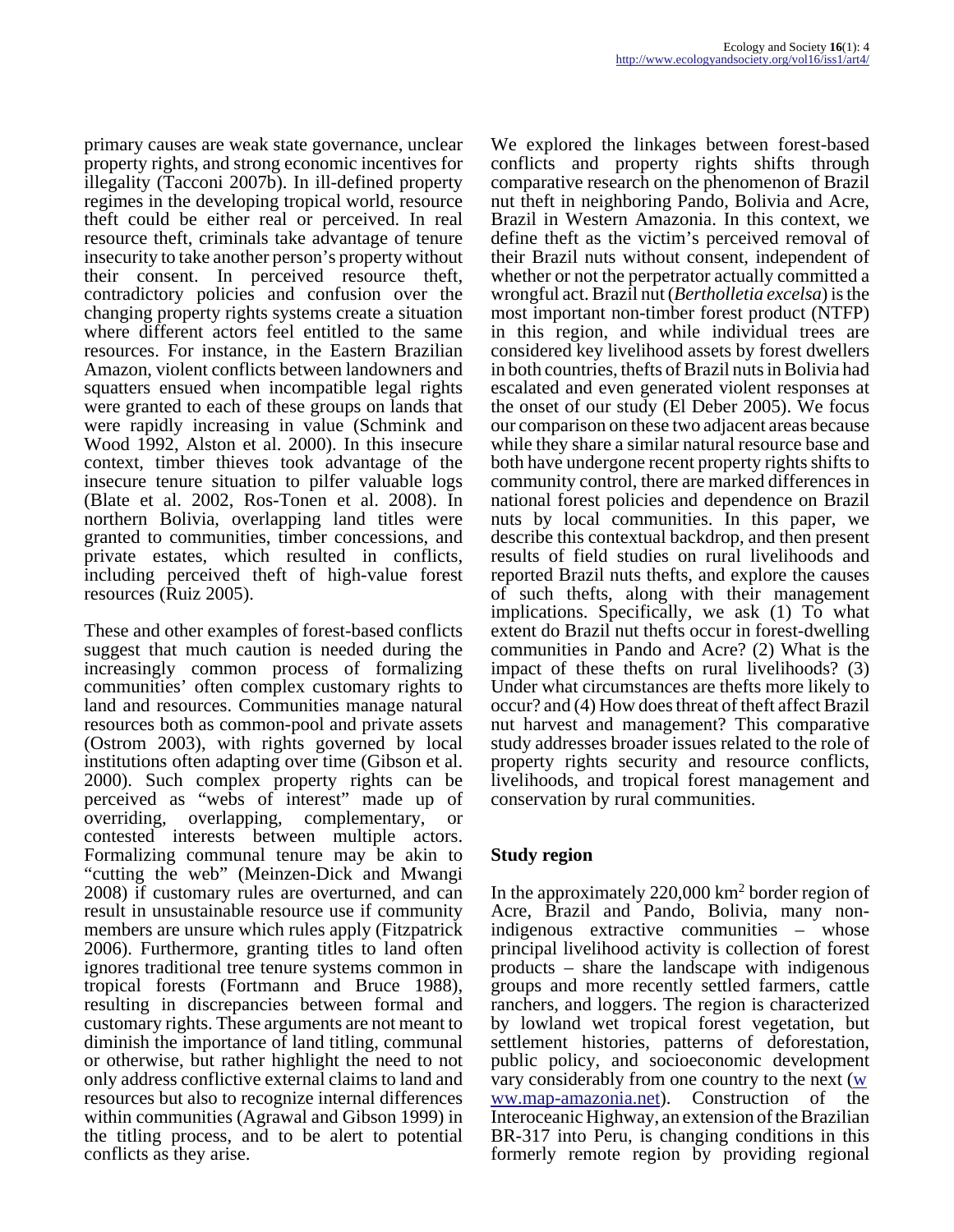primary causes are weak state governance, unclear property rights, and strong economic incentives for illegality (Tacconi 2007b). In ill-defined property regimes in the developing tropical world, resource theft could be either real or perceived. In real resource theft, criminals take advantage of tenure insecurity to take another person's property without their consent. In perceived resource theft, contradictory policies and confusion over the changing property rights systems create a situation where different actors feel entitled to the same resources. For instance, in the Eastern Brazilian Amazon, violent conflicts between landowners and squatters ensued when incompatible legal rights were granted to each of these groups on lands that were rapidly increasing in value (Schmink and Wood 1992, Alston et al. 2000). In this insecure context, timber thieves took advantage of the insecure tenure situation to pilfer valuable logs (Blate et al. 2002, Ros-Tonen et al. 2008). In northern Bolivia, overlapping land titles were granted to communities, timber concessions, and private estates, which resulted in conflicts, including perceived theft of high-value forest resources (Ruiz 2005).

These and other examples of forest-based conflicts suggest that much caution is needed during the increasingly common process of formalizing communities' often complex customary rights to land and resources. Communities manage natural resources both as common-pool and private assets (Ostrom 2003), with rights governed by local institutions often adapting over time (Gibson et al. 2000). Such complex property rights can be perceived as "webs of interest" made up of overriding, overlapping, complementary, or contested interests between multiple actors. Formalizing communal tenure may be akin to "cutting the web" (Meinzen-Dick and Mwangi 2008) if customary rules are overturned, and can result in unsustainable resource use if community members are unsure which rules apply (Fitzpatrick 2006). Furthermore, granting titles to land often ignores traditional tree tenure systems common in tropical forests (Fortmann and Bruce 1988), resulting in discrepancies between formal and customary rights. These arguments are not meant to diminish the importance of land titling, communal or otherwise, but rather highlight the need to not only address conflictive external claims to land and resources but also to recognize internal differences within communities (Agrawal and Gibson 1999) in the titling process, and to be alert to potential conflicts as they arise.

We explored the linkages between forest-based conflicts and property rights shifts through comparative research on the phenomenon of Brazil nut theft in neighboring Pando, Bolivia and Acre, Brazil in Western Amazonia. In this context, we define theft as the victim's perceived removal of their Brazil nuts without consent, independent of whether or not the perpetrator actually committed a wrongful act. Brazil nut (*Bertholletia excelsa*) is the most important non-timber forest product (NTFP) in this region, and while individual trees are considered key livelihood assets by forest dwellers in both countries, thefts of Brazil nuts in Bolivia had escalated and even generated violent responses at the onset of our study (El Deber 2005). We focus our comparison on these two adjacent areas because while they share a similar natural resource base and both have undergone recent property rights shifts to community control, there are marked differences in national forest policies and dependence on Brazil nuts by local communities. In this paper, we describe this contextual backdrop, and then present results of field studies on rural livelihoods and reported Brazil nuts thefts, and explore the causes of such thefts, along with their management implications. Specifically, we ask (1) To what extent do Brazil nut thefts occur in forest-dwelling communities in Pando and Acre? (2) What is the impact of these thefts on rural livelihoods? (3) Under what circumstances are thefts more likely to occur? and (4) How does threat of theft affect Brazil nut harvest and management? This comparative study addresses broader issues related to the role of property rights security and resource conflicts, livelihoods, and tropical forest management and conservation by rural communities.

## **Study region**

In the approximately 220,000 km<sup>2</sup> border region of Acre, Brazil and Pando, Bolivia, many nonindigenous extractive communities – whose principal livelihood activity is collection of forest products – share the landscape with indigenous groups and more recently settled farmers, cattle ranchers, and loggers. The region is characterized by lowland wet tropical forest vegetation, but settlement histories, patterns of deforestation, public policy, and socioeconomic development vary considerably from one country to the next  $(w$  $(w$ [ww.map-amazonia.net\)](http://www.map-amazonia.net). Construction of the Interoceanic Highway, an extension of the Brazilian BR-317 into Peru, is changing conditions in this formerly remote region by providing regional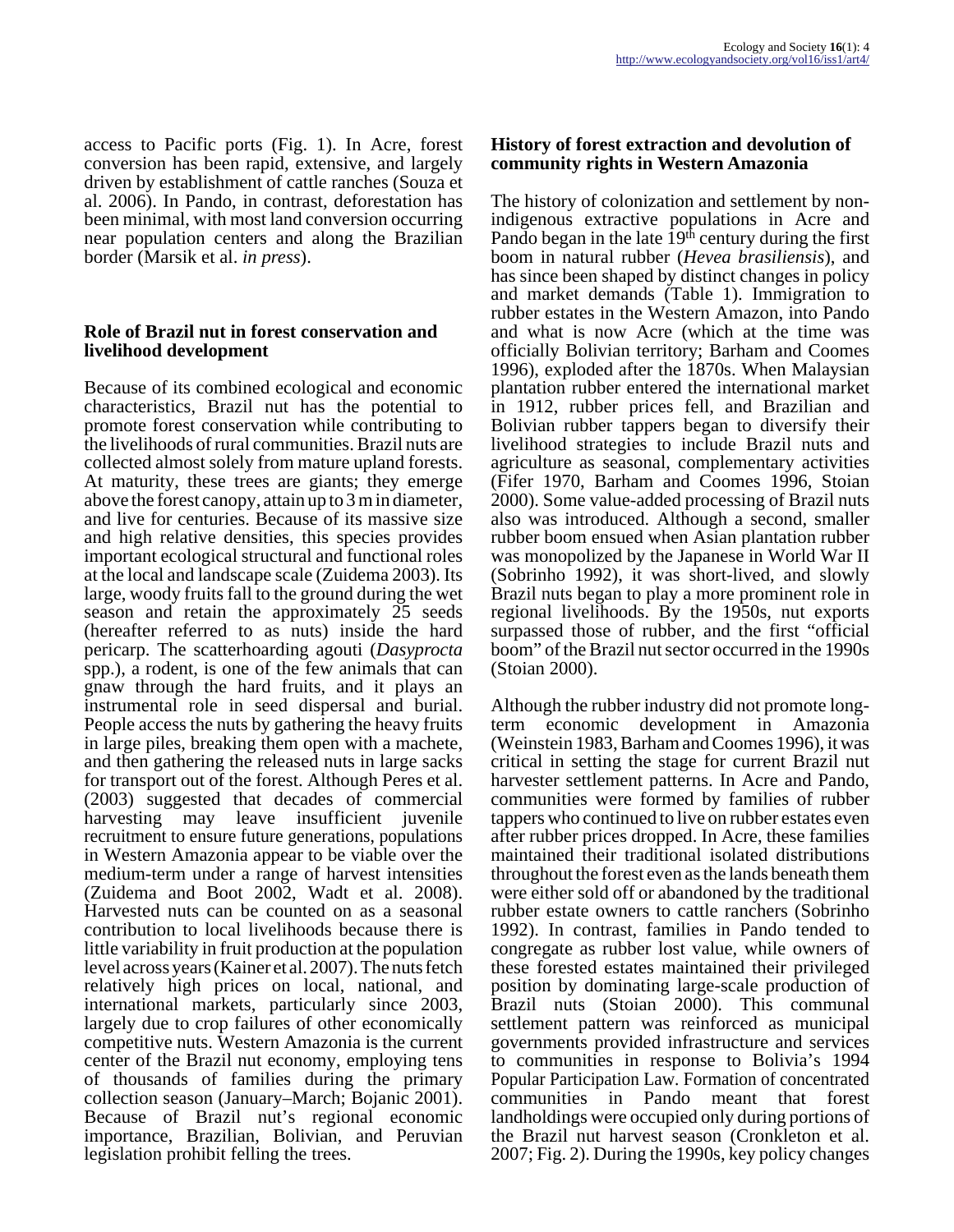access to Pacific ports (Fig. 1). In Acre, forest conversion has been rapid, extensive, and largely driven by establishment of cattle ranches (Souza et al. 2006). In Pando, in contrast, deforestation has been minimal, with most land conversion occurring near population centers and along the Brazilian border (Marsik et al. *in press*).

### **Role of Brazil nut in forest conservation and livelihood development**

Because of its combined ecological and economic characteristics, Brazil nut has the potential to promote forest conservation while contributing to the livelihoods of rural communities. Brazil nuts are collected almost solely from mature upland forests. At maturity, these trees are giants; they emerge above the forest canopy, attain up to 3 m in diameter, and live for centuries. Because of its massive size and high relative densities, this species provides important ecological structural and functional roles at the local and landscape scale (Zuidema 2003). Its large, woody fruits fall to the ground during the wet season and retain the approximately 25 seeds (hereafter referred to as nuts) inside the hard pericarp. The scatterhoarding agouti (*Dasyprocta* spp.), a rodent, is one of the few animals that can gnaw through the hard fruits, and it plays an instrumental role in seed dispersal and burial. People access the nuts by gathering the heavy fruits in large piles, breaking them open with a machete, and then gathering the released nuts in large sacks for transport out of the forest. Although Peres et al. (2003) suggested that decades of commercial harvesting may leave insufficient juvenile recruitment to ensure future generations, populations in Western Amazonia appear to be viable over the medium-term under a range of harvest intensities (Zuidema and Boot 2002, Wadt et al. 2008). Harvested nuts can be counted on as a seasonal contribution to local livelihoods because there is little variability in fruit production at the population level across years (Kainer et al. 2007). The nuts fetch relatively high prices on local, national, and international markets, particularly since 2003, largely due to crop failures of other economically competitive nuts. Western Amazonia is the current center of the Brazil nut economy, employing tens of thousands of families during the primary collection season (January–March; Bojanic 2001). Because of Brazil nut's regional economic importance, Brazilian, Bolivian, and Peruvian legislation prohibit felling the trees.

## **History of forest extraction and devolution of community rights in Western Amazonia**

The history of colonization and settlement by nonindigenous extractive populations in Acre and Pando began in the late 19<sup>th</sup> century during the first boom in natural rubber (*Hevea brasiliensis*), and has since been shaped by distinct changes in policy and market demands (Table 1). Immigration to rubber estates in the Western Amazon, into Pando and what is now Acre (which at the time was officially Bolivian territory; Barham and Coomes 1996), exploded after the 1870s. When Malaysian plantation rubber entered the international market in 1912, rubber prices fell, and Brazilian and Bolivian rubber tappers began to diversify their livelihood strategies to include Brazil nuts and agriculture as seasonal, complementary activities (Fifer 1970, Barham and Coomes 1996, Stoian 2000). Some value-added processing of Brazil nuts also was introduced. Although a second, smaller rubber boom ensued when Asian plantation rubber was monopolized by the Japanese in World War II (Sobrinho 1992), it was short-lived, and slowly Brazil nuts began to play a more prominent role in regional livelihoods. By the 1950s, nut exports surpassed those of rubber, and the first "official boom" of the Brazil nut sector occurred in the 1990s (Stoian 2000).

Although the rubber industry did not promote longterm economic development in Amazonia (Weinstein 1983, Barham and Coomes 1996), it was critical in setting the stage for current Brazil nut harvester settlement patterns. In Acre and Pando, communities were formed by families of rubber tappers who continued to live on rubber estates even after rubber prices dropped. In Acre, these families maintained their traditional isolated distributions throughout the forest even as the lands beneath them were either sold off or abandoned by the traditional rubber estate owners to cattle ranchers (Sobrinho 1992). In contrast, families in Pando tended to congregate as rubber lost value, while owners of these forested estates maintained their privileged position by dominating large-scale production of Brazil nuts (Stoian 2000). This communal settlement pattern was reinforced as municipal governments provided infrastructure and services to communities in response to Bolivia's 1994 Popular Participation Law. Formation of concentrated communities in Pando meant that forest landholdings were occupied only during portions of the Brazil nut harvest season (Cronkleton et al. 2007; Fig. 2). During the 1990s, key policy changes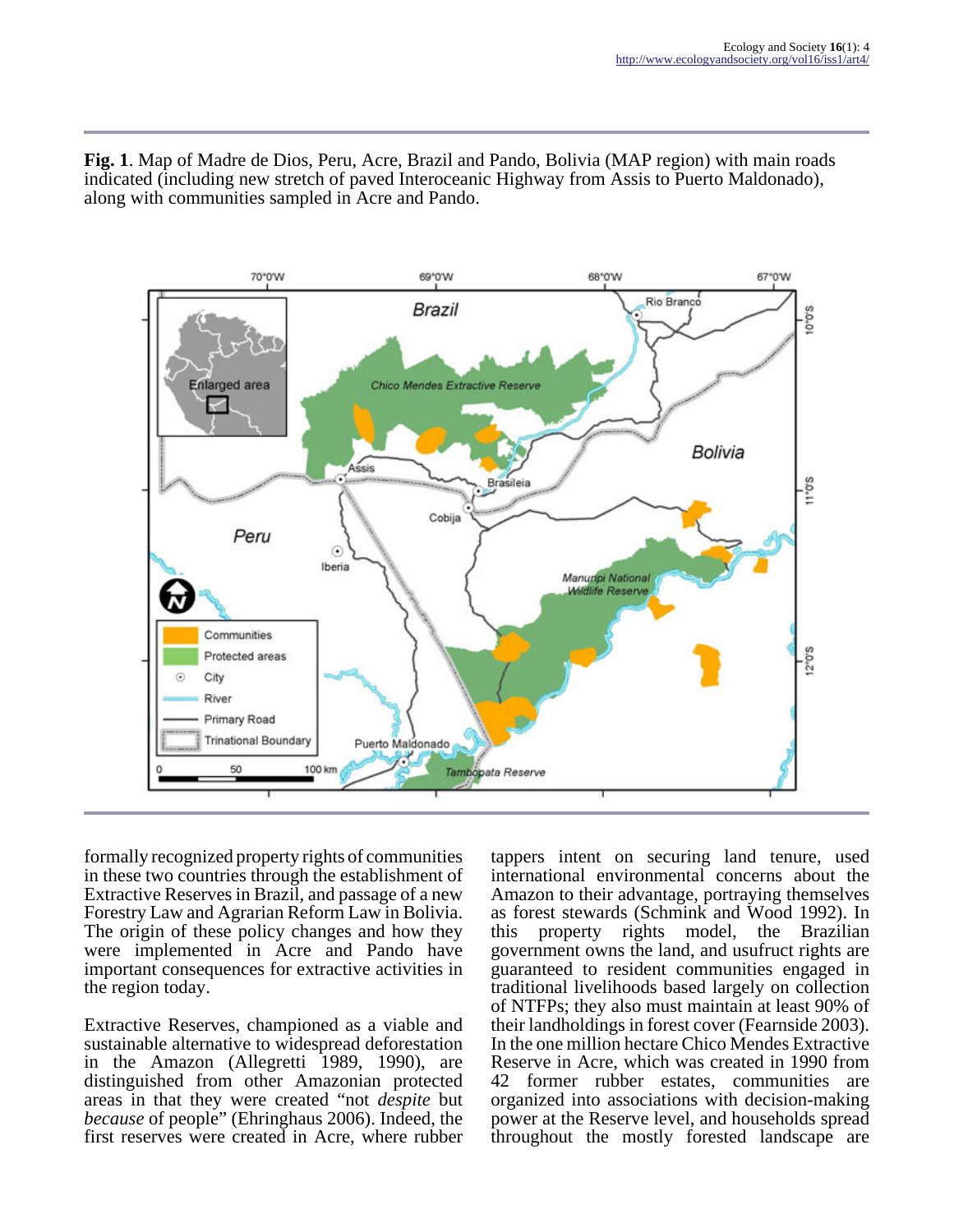**Fig. 1**. Map of Madre de Dios, Peru, Acre, Brazil and Pando, Bolivia (MAP region) with main roads indicated (including new stretch of paved Interoceanic Highway from Assis to Puerto Maldonado), along with communities sampled in Acre and Pando.



formally recognized property rights of communities in these two countries through the establishment of Extractive Reserves in Brazil, and passage of a new Forestry Law and Agrarian Reform Law in Bolivia. The origin of these policy changes and how they were implemented in Acre and Pando have important consequences for extractive activities in the region today.

Extractive Reserves, championed as a viable and sustainable alternative to widespread deforestation in the Amazon (Allegretti 1989, 1990), are distinguished from other Amazonian protected areas in that they were created "not *despite* but *because* of people" (Ehringhaus 2006). Indeed, the first reserves were created in Acre, where rubber tappers intent on securing land tenure, used international environmental concerns about the Amazon to their advantage, portraying themselves as forest stewards (Schmink and Wood 1992). In this property rights model, the Brazilian government owns the land, and usufruct rights are guaranteed to resident communities engaged in traditional livelihoods based largely on collection of NTFPs; they also must maintain at least 90% of their landholdings in forest cover (Fearnside 2003). In the one million hectare Chico Mendes Extractive Reserve in Acre, which was created in 1990 from 42 former rubber estates, communities are organized into associations with decision-making power at the Reserve level, and households spread throughout the mostly forested landscape are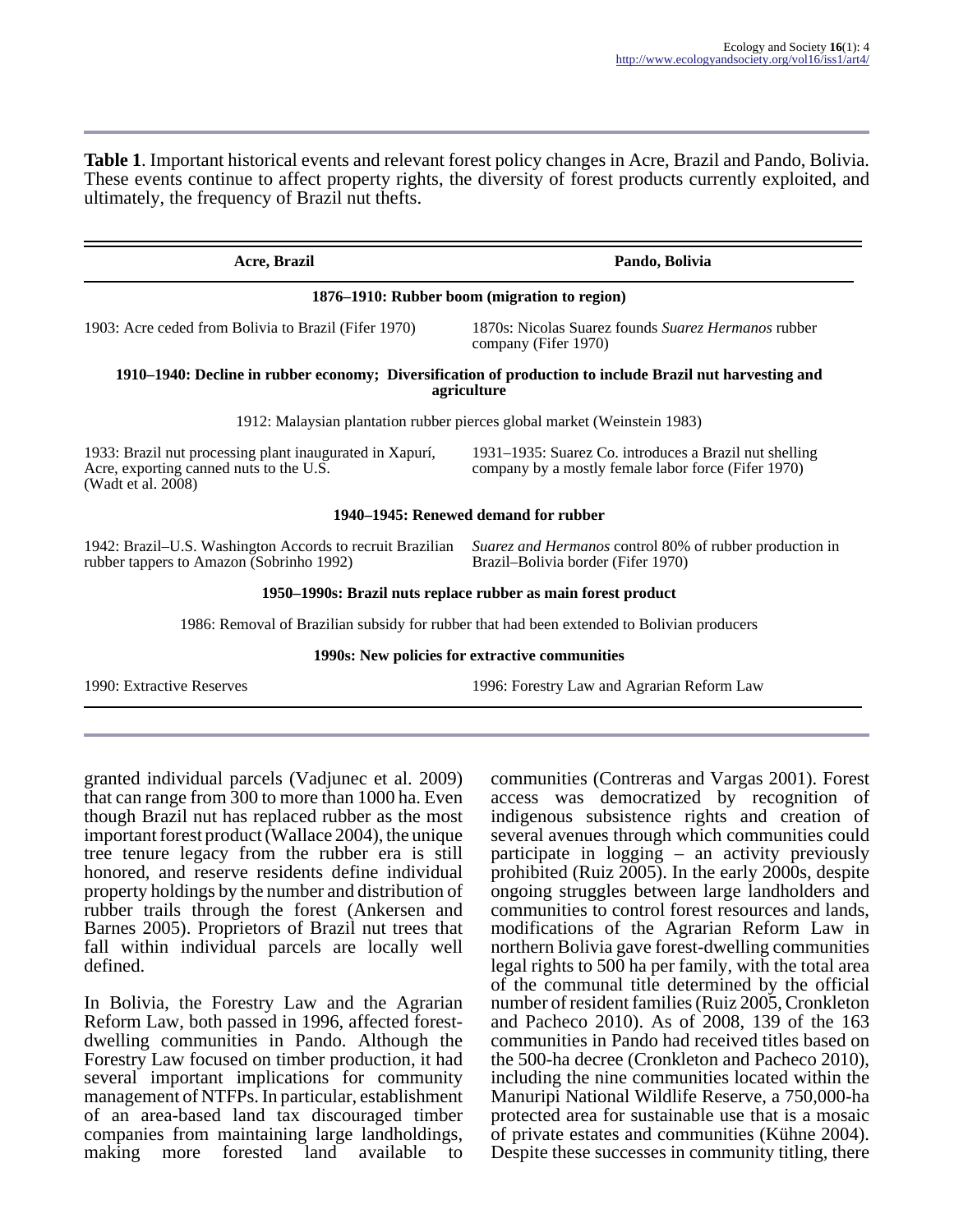**Table 1**. Important historical events and relevant forest policy changes in Acre, Brazil and Pando, Bolivia. These events continue to affect property rights, the diversity of forest products currently exploited, and ultimately, the frequency of Brazil nut thefts.

| Acre, Brazil<br>Pando, Bolivia                                                                                            |                                                                                                               |  |  |  |  |
|---------------------------------------------------------------------------------------------------------------------------|---------------------------------------------------------------------------------------------------------------|--|--|--|--|
| 1876-1910: Rubber boom (migration to region)                                                                              |                                                                                                               |  |  |  |  |
| 1903: Acre ceded from Bolivia to Brazil (Fifer 1970)                                                                      | 1870s: Nicolas Suarez founds Suarez Hermanos rubber<br>company (Fifer 1970)                                   |  |  |  |  |
| 1910–1940: Decline in rubber economy; Diversification of production to include Brazil nut harvesting and<br>agriculture   |                                                                                                               |  |  |  |  |
| 1912: Malaysian plantation rubber pierces global market (Weinstein 1983)                                                  |                                                                                                               |  |  |  |  |
| 1933: Brazil nut processing plant inaugurated in Xapurí,<br>Acre, exporting canned nuts to the U.S.<br>(Wadt et al. 2008) | 1931–1935: Suarez Co. introduces a Brazil nut shelling<br>company by a mostly female labor force (Fifer 1970) |  |  |  |  |
|                                                                                                                           | 1940–1945: Renewed demand for rubber                                                                          |  |  |  |  |
| 1942: Brazil–U.S. Washington Accords to recruit Brazilian<br>rubber tappers to Amazon (Sobrinho 1992)                     | <i>Suarez and Hermanos</i> control 80% of rubber production in<br>Brazil–Bolivia border (Fifer 1970)          |  |  |  |  |
|                                                                                                                           | 1950–1990s: Brazil nuts replace rubber as main forest product                                                 |  |  |  |  |
|                                                                                                                           | 1986: Removal of Brazilian subsidy for rubber that had been extended to Bolivian producers                    |  |  |  |  |
| 1990s: New policies for extractive communities                                                                            |                                                                                                               |  |  |  |  |

| 1990: Extractive Reserves | 1996: Forestry Law and Agrarian Reform Law |
|---------------------------|--------------------------------------------|
|                           |                                            |

granted individual parcels (Vadjunec et al. 2009) that can range from 300 to more than 1000 ha. Even though Brazil nut has replaced rubber as the most important forest product (Wallace 2004), the unique tree tenure legacy from the rubber era is still honored, and reserve residents define individual property holdings by the number and distribution of rubber trails through the forest (Ankersen and Barnes 2005). Proprietors of Brazil nut trees that fall within individual parcels are locally well defined.

In Bolivia, the Forestry Law and the Agrarian Reform Law, both passed in 1996, affected forestdwelling communities in Pando. Although the Forestry Law focused on timber production, it had several important implications for community management of NTFPs. In particular, establishment of an area-based land tax discouraged timber companies from maintaining large landholdings, making more forested land available to

communities (Contreras and Vargas 2001). Forest access was democratized by recognition of indigenous subsistence rights and creation of several avenues through which communities could participate in logging – an activity previously prohibited (Ruiz 2005). In the early 2000s, despite ongoing struggles between large landholders and communities to control forest resources and lands, modifications of the Agrarian Reform Law in northern Bolivia gave forest-dwelling communities legal rights to 500 ha per family, with the total area of the communal title determined by the official number of resident families (Ruiz 2005, Cronkleton and Pacheco 2010). As of 2008, 139 of the 163 communities in Pando had received titles based on the 500-ha decree (Cronkleton and Pacheco 2010), including the nine communities located within the Manuripi National Wildlife Reserve, a 750,000-ha protected area for sustainable use that is a mosaic of private estates and communities (Kühne 2004). Despite these successes in community titling, there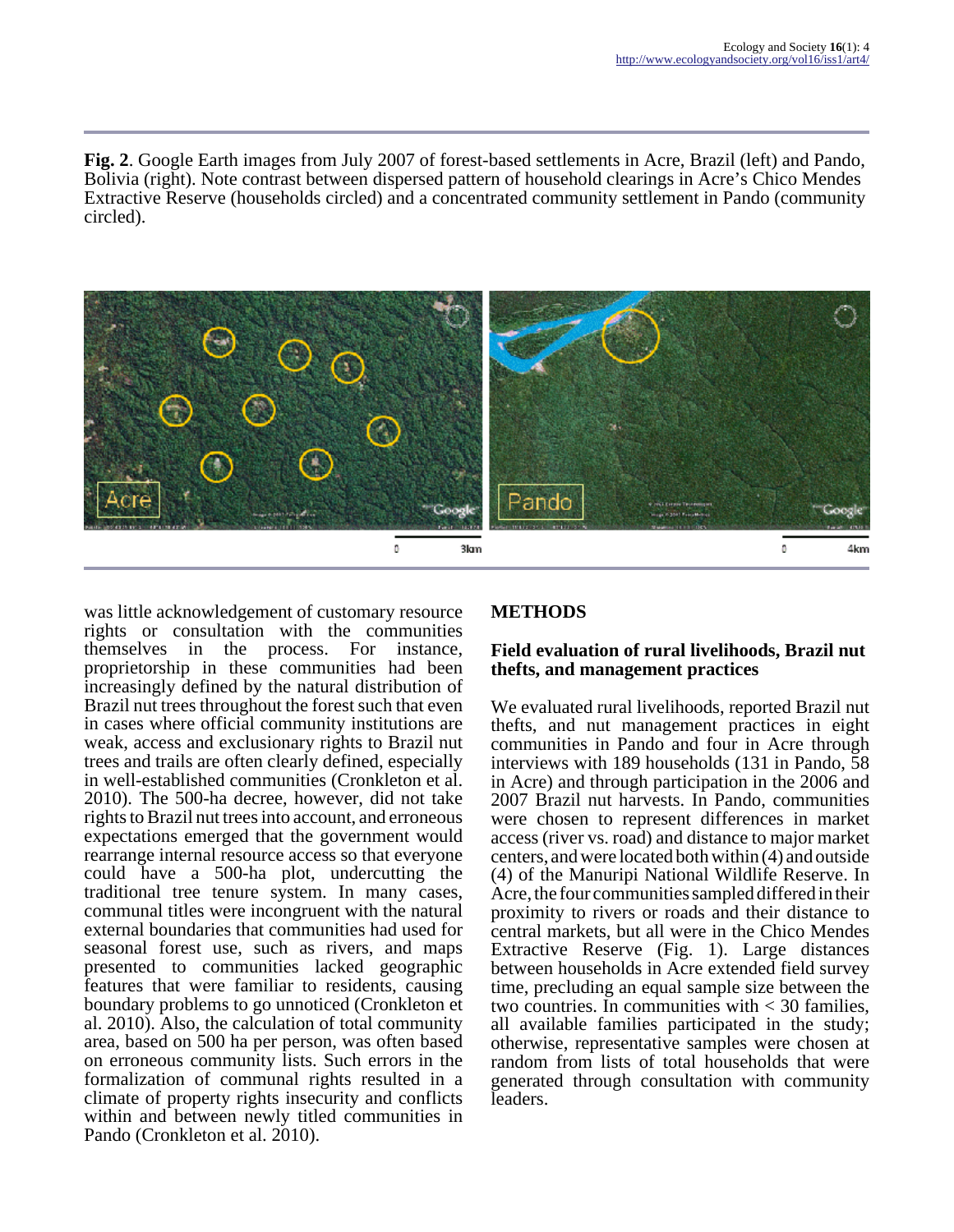**Fig. 2**. Google Earth images from July 2007 of forest-based settlements in Acre, Brazil (left) and Pando, Bolivia (right). Note contrast between dispersed pattern of household clearings in Acre's Chico Mendes Extractive Reserve (households circled) and a concentrated community settlement in Pando (community circled).



was little acknowledgement of customary resource rights or consultation with the communities themselves in the process. For instance, proprietorship in these communities had been increasingly defined by the natural distribution of Brazil nut trees throughout the forest such that even in cases where official community institutions are weak, access and exclusionary rights to Brazil nut trees and trails are often clearly defined, especially in well-established communities (Cronkleton et al. 2010). The 500-ha decree, however, did not take rights to Brazil nut trees into account, and erroneous expectations emerged that the government would rearrange internal resource access so that everyone could have a 500-ha plot, undercutting the traditional tree tenure system. In many cases, communal titles were incongruent with the natural external boundaries that communities had used for seasonal forest use, such as rivers, and maps presented to communities lacked geographic features that were familiar to residents, causing boundary problems to go unnoticed (Cronkleton et al. 2010). Also, the calculation of total community area, based on 500 ha per person, was often based on erroneous community lists. Such errors in the formalization of communal rights resulted in a climate of property rights insecurity and conflicts within and between newly titled communities in Pando (Cronkleton et al. 2010).

# **METHODS**

## **Field evaluation of rural livelihoods, Brazil nut thefts, and management practices**

We evaluated rural livelihoods, reported Brazil nut thefts, and nut management practices in eight communities in Pando and four in Acre through interviews with 189 households (131 in Pando, 58 in Acre) and through participation in the 2006 and 2007 Brazil nut harvests. In Pando, communities were chosen to represent differences in market access (river vs. road) and distance to major market centers, and were located both within (4) and outside (4) of the Manuripi National Wildlife Reserve. In Acre, the four communities sampled differed in their proximity to rivers or roads and their distance to central markets, but all were in the Chico Mendes Extractive Reserve (Fig. 1). Large distances between households in Acre extended field survey time, precluding an equal sample size between the two countries. In communities with  $<$  30 families, all available families participated in the study; otherwise, representative samples were chosen at random from lists of total households that were generated through consultation with community leaders.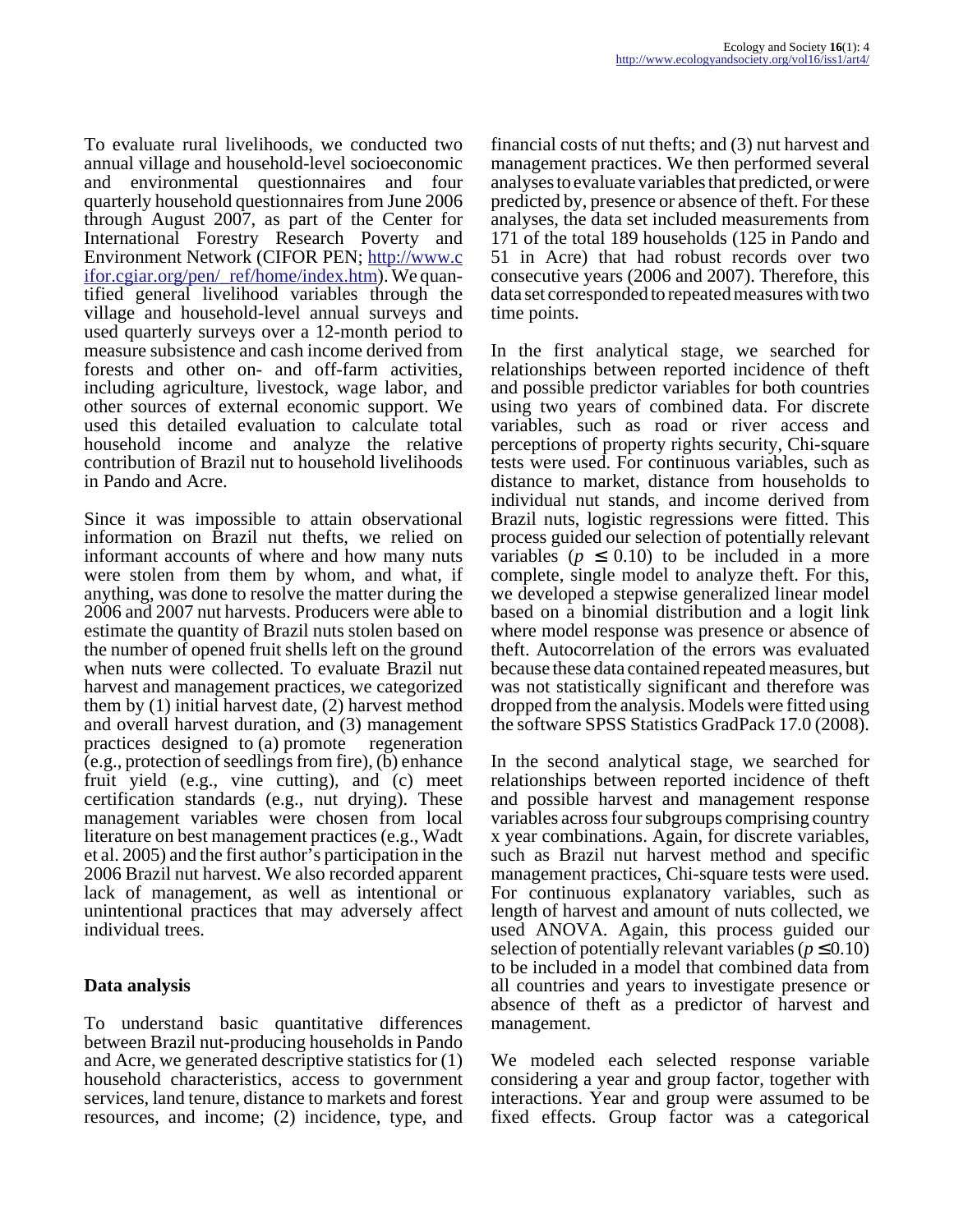To evaluate rural livelihoods, we conducted two annual village and household-level socioeconomic and environmental questionnaires and four quarterly household questionnaires from June 2006 through August 2007, as part of the Center for International Forestry Research Poverty and Environment Network (CIFOR PEN; [http://www.c](http://www.cifor.cgiar.org/pen/_ref/home/index.htm) [ifor.cgiar.org/pen/\\_ref/home/index.htm](http://www.cifor.cgiar.org/pen/_ref/home/index.htm)). We quantified general livelihood variables through the village and household-level annual surveys and used quarterly surveys over a 12-month period to measure subsistence and cash income derived from forests and other on- and off-farm activities, including agriculture, livestock, wage labor, and other sources of external economic support. We used this detailed evaluation to calculate total household income and analyze the relative contribution of Brazil nut to household livelihoods in Pando and Acre.

Since it was impossible to attain observational information on Brazil nut thefts, we relied on informant accounts of where and how many nuts were stolen from them by whom, and what, if anything, was done to resolve the matter during the 2006 and 2007 nut harvests. Producers were able to estimate the quantity of Brazil nuts stolen based on the number of opened fruit shells left on the ground when nuts were collected. To evaluate Brazil nut harvest and management practices, we categorized them by (1) initial harvest date, (2) harvest method and overall harvest duration, and (3) management practices designed to (a) promote regeneration (e.g., protection of seedlings from fire), (b) enhance fruit yield (e.g., vine cutting), and (c) meet certification standards (e.g., nut drying). These management variables were chosen from local literature on best management practices (e.g., Wadt et al. 2005) and the first author's participation in the 2006 Brazil nut harvest. We also recorded apparent lack of management, as well as intentional or unintentional practices that may adversely affect individual trees.

## **Data analysis**

To understand basic quantitative differences between Brazil nut-producing households in Pando and Acre, we generated descriptive statistics for (1) household characteristics, access to government services, land tenure, distance to markets and forest resources, and income; (2) incidence, type, and

financial costs of nut thefts; and (3) nut harvest and management practices. We then performed several analyses to evaluate variables that predicted, or were predicted by, presence or absence of theft. For these analyses, the data set included measurements from 171 of the total 189 households (125 in Pando and 51 in Acre) that had robust records over two consecutive years (2006 and 2007). Therefore, this data set corresponded to repeated measures with two time points.

In the first analytical stage, we searched for relationships between reported incidence of theft and possible predictor variables for both countries using two years of combined data. For discrete variables, such as road or river access and perceptions of property rights security, Chi-square tests were used. For continuous variables, such as distance to market, distance from households to individual nut stands, and income derived from Brazil nuts, logistic regressions were fitted. This process guided our selection of potentially relevant variables ( $p \leq 0.10$ ) to be included in a more complete, single model to analyze theft. For this, we developed a stepwise generalized linear model based on a binomial distribution and a logit link where model response was presence or absence of theft. Autocorrelation of the errors was evaluated because these data contained repeated measures, but was not statistically significant and therefore was dropped from the analysis. Models were fitted using the software SPSS Statistics GradPack 17.0 (2008).

In the second analytical stage, we searched for relationships between reported incidence of theft and possible harvest and management response variables across four subgroups comprising country x year combinations. Again, for discrete variables, such as Brazil nut harvest method and specific management practices, Chi-square tests were used. For continuous explanatory variables, such as length of harvest and amount of nuts collected, we used ANOVA. Again, this process guided our selection of potentially relevant variables ( $p \le 0.10$ ) to be included in a model that combined data from all countries and years to investigate presence or absence of theft as a predictor of harvest and management.

We modeled each selected response variable considering a year and group factor, together with interactions. Year and group were assumed to be fixed effects. Group factor was a categorical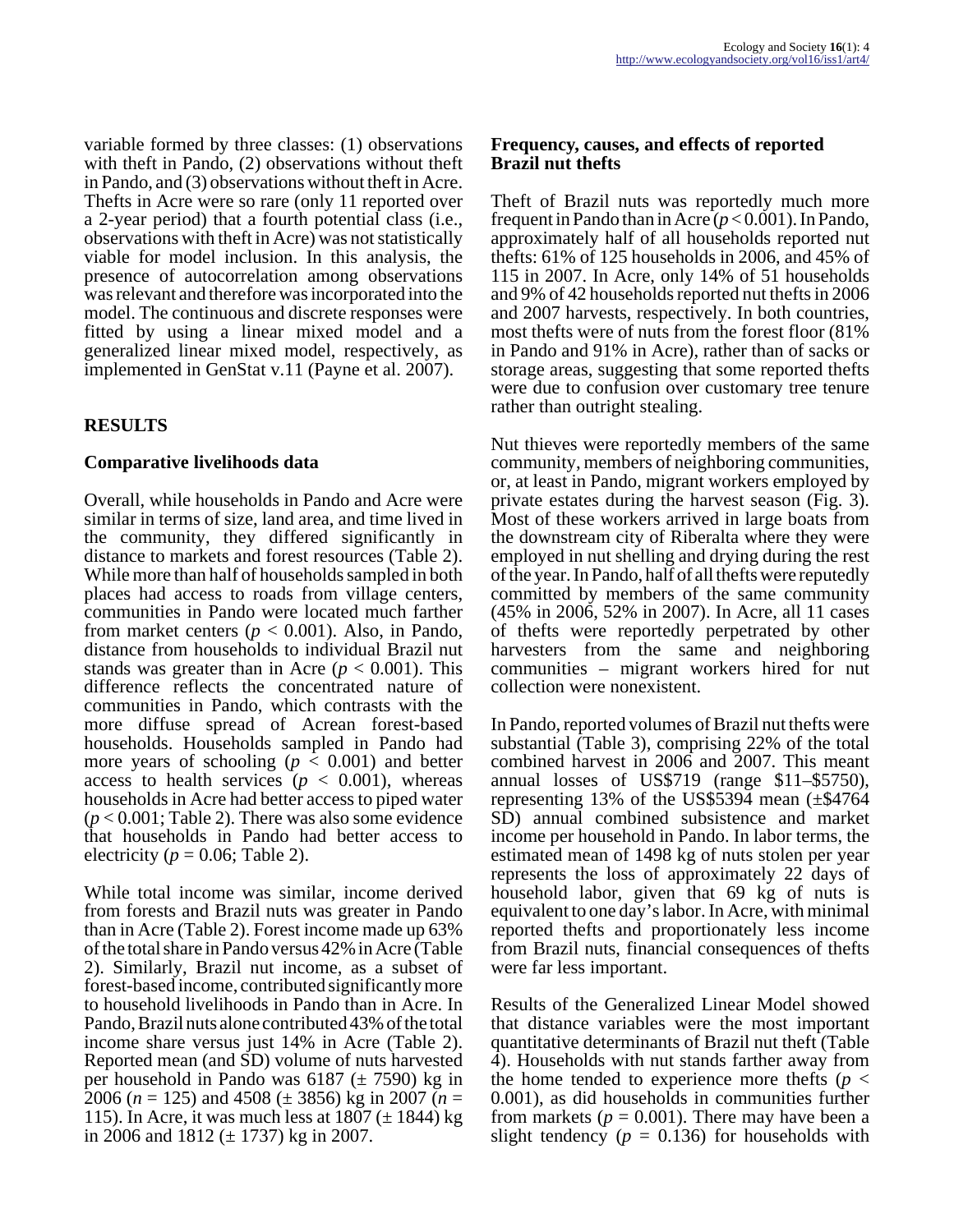variable formed by three classes: (1) observations with theft in Pando, (2) observations without theft in Pando, and (3) observations without theft in Acre. Thefts in Acre were so rare (only 11 reported over a 2-year period) that a fourth potential class (i.e., observations with theft in Acre) was not statistically viable for model inclusion. In this analysis, the presence of autocorrelation among observations was relevant and therefore was incorporated into the model. The continuous and discrete responses were fitted by using a linear mixed model and a generalized linear mixed model, respectively, as implemented in GenStat v.11 (Payne et al. 2007).

## **RESULTS**

#### **Comparative livelihoods data**

Overall, while households in Pando and Acre were similar in terms of size, land area, and time lived in the community, they differed significantly in distance to markets and forest resources (Table 2). While more than half of households sampled in both places had access to roads from village centers, communities in Pando were located much farther from market centers  $(p < 0.001)$ . Also, in Pando, distance from households to individual Brazil nut stands was greater than in Acre ( $p < 0.001$ ). This difference reflects the concentrated nature of communities in Pando, which contrasts with the more diffuse spread of Acrean forest-based households. Households sampled in Pando had more years of schooling  $(p < 0.001)$  and better access to health services ( $p < 0.001$ ), whereas households in Acre had better access to piped water  $(p < 0.001$ ; Table 2). There was also some evidence that households in Pando had better access to electricity ( $p = 0.06$ ; Table 2).

While total income was similar, income derived from forests and Brazil nuts was greater in Pando than in Acre (Table 2). Forest income made up 63% of the total share in Pando versus 42% in Acre (Table 2). Similarly, Brazil nut income, as a subset of forest-based income, contributed significantly more to household livelihoods in Pando than in Acre. In Pando, Brazil nuts alone contributed 43% of the total income share versus just 14% in Acre (Table 2). Reported mean (and SD) volume of nuts harvested per household in Pando was  $6187 \ (\pm 7590)$  kg in 2006 (*n* = 125) and 4508 (± 3856) kg in 2007 (*n* = 115). In Acre, it was much less at  $1807 (\pm 1844)$  kg in 2006 and 1812 ( $\pm$  1737) kg in 2007.

## **Frequency, causes, and effects of reported Brazil nut thefts**

Theft of Brazil nuts was reportedly much more frequent in Pando than in Acre ( $p < 0.001$ ). In Pando, approximately half of all households reported nut thefts: 61% of 125 households in 2006, and 45% of 115 in 2007. In Acre, only 14% of 51 households and 9% of 42 households reported nut thefts in 2006 and 2007 harvests, respectively. In both countries, most thefts were of nuts from the forest floor (81% in Pando and 91% in Acre), rather than of sacks or storage areas, suggesting that some reported thefts were due to confusion over customary tree tenure rather than outright stealing.

Nut thieves were reportedly members of the same community, members of neighboring communities, or, at least in Pando, migrant workers employed by private estates during the harvest season (Fig. 3). Most of these workers arrived in large boats from the downstream city of Riberalta where they were employed in nut shelling and drying during the rest of the year. In Pando, half of all thefts were reputedly committed by members of the same community (45% in 2006, 52% in 2007). In Acre, all 11 cases of thefts were reportedly perpetrated by other harvesters from the same and neighboring communities – migrant workers hired for nut collection were nonexistent.

In Pando, reported volumes of Brazil nut thefts were substantial (Table 3), comprising 22% of the total combined harvest in 2006 and 2007. This meant annual losses of US\$719 (range \$11–\$5750), representing 13% of the US\$5394 mean  $(\pm 84764)$ SD) annual combined subsistence and market income per household in Pando. In labor terms, the estimated mean of 1498 kg of nuts stolen per year represents the loss of approximately 22 days of household labor, given that 69 kg of nuts is equivalent to one day's labor. In Acre, with minimal reported thefts and proportionately less income from Brazil nuts, financial consequences of thefts were far less important.

Results of the Generalized Linear Model showed that distance variables were the most important quantitative determinants of Brazil nut theft (Table 4). Households with nut stands farther away from the home tended to experience more thefts ( $p <$ 0.001), as did households in communities further from markets ( $p = 0.001$ ). There may have been a slight tendency ( $p = 0.136$ ) for households with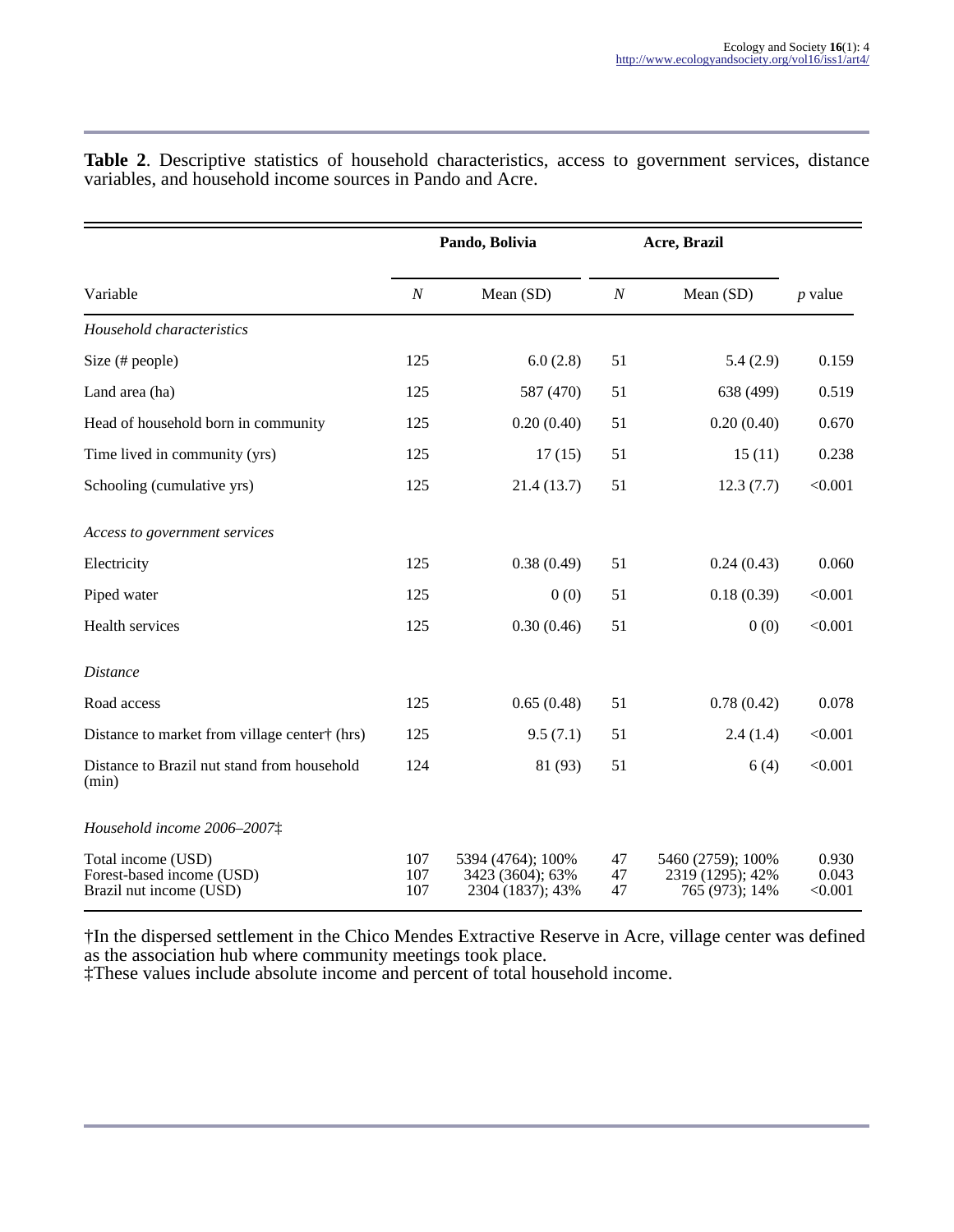|                                                                            | Pando, Bolivia    |                                                           | Acre, Brazil     |                                                         |                           |  |
|----------------------------------------------------------------------------|-------------------|-----------------------------------------------------------|------------------|---------------------------------------------------------|---------------------------|--|
| Variable                                                                   | $\cal N$          | Mean (SD)                                                 | $\boldsymbol{N}$ | Mean (SD)                                               | $p$ value                 |  |
| Household characteristics                                                  |                   |                                                           |                  |                                                         |                           |  |
| Size (# people)                                                            | 125               | 6.0(2.8)                                                  | 51               | 5.4(2.9)                                                | 0.159                     |  |
| Land area (ha)                                                             | 125               | 587 (470)                                                 | 51               | 638 (499)                                               | 0.519                     |  |
| Head of household born in community                                        | 125               | 0.20(0.40)                                                | 51               | 0.20(0.40)                                              | 0.670                     |  |
| Time lived in community (yrs)                                              | 125               | 17(15)                                                    | 51               | 15(11)                                                  | 0.238                     |  |
| Schooling (cumulative yrs)                                                 | 125               | 21.4(13.7)                                                | 51               | 12.3(7.7)                                               | < 0.001                   |  |
| Access to government services                                              |                   |                                                           |                  |                                                         |                           |  |
| Electricity                                                                | 125               | 0.38(0.49)                                                | 51               | 0.24(0.43)                                              | 0.060                     |  |
| Piped water                                                                | 125               | 0(0)                                                      | 51               | 0.18(0.39)                                              | < 0.001                   |  |
| Health services                                                            | 125               | 0.30(0.46)                                                | 51               | 0(0)                                                    | < 0.001                   |  |
| <i>Distance</i>                                                            |                   |                                                           |                  |                                                         |                           |  |
| Road access                                                                | 125               | 0.65(0.48)                                                | 51               | 0.78(0.42)                                              | 0.078                     |  |
| Distance to market from village center† (hrs)                              | 125               | 9.5(7.1)                                                  | 51               | 2.4(1.4)                                                | < 0.001                   |  |
| Distance to Brazil nut stand from household<br>(min)                       | 124               | 81 (93)                                                   | 51               | 6(4)                                                    | < 0.001                   |  |
| Household income 2006-2007:                                                |                   |                                                           |                  |                                                         |                           |  |
| Total income (USD)<br>Forest-based income (USD)<br>Brazil nut income (USD) | 107<br>107<br>107 | 5394 (4764); 100%<br>3423 (3604); 63%<br>2304 (1837); 43% | 47<br>47<br>47   | 5460 (2759); 100%<br>2319 (1295); 42%<br>765 (973); 14% | 0.930<br>0.043<br>< 0.001 |  |

**Table 2**. Descriptive statistics of household characteristics, access to government services, distance variables, and household income sources in Pando and Acre.

†In the dispersed settlement in the Chico Mendes Extractive Reserve in Acre, village center was defined as the association hub where community meetings took place.

‡These values include absolute income and percent of total household income.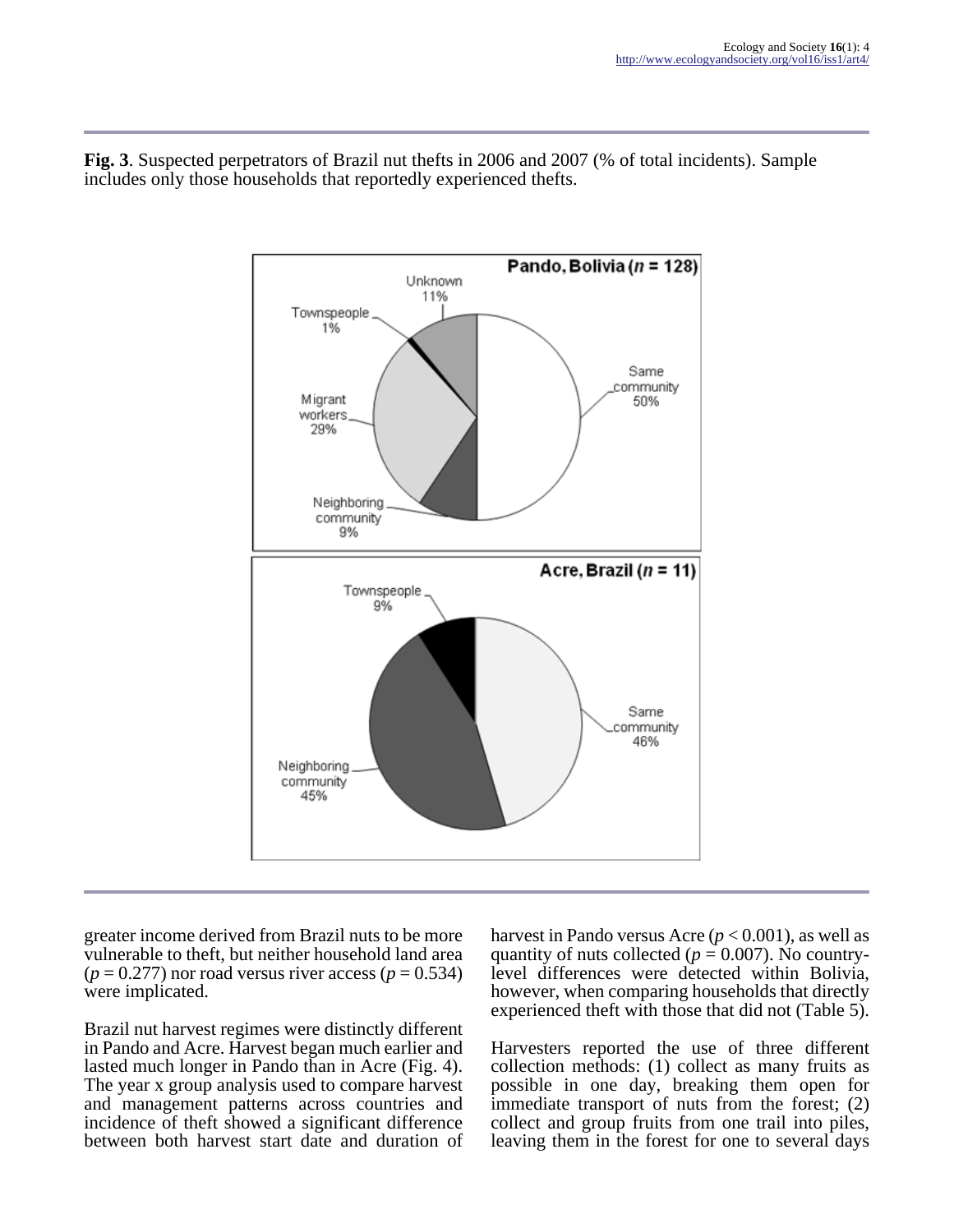

**Fig. 3**. Suspected perpetrators of Brazil nut thefts in 2006 and 2007 (% of total incidents). Sample includes only those households that reportedly experienced thefts.

greater income derived from Brazil nuts to be more vulnerable to theft, but neither household land area  $(p = 0.277)$  nor road versus river access  $(p = 0.534)$ were implicated.

Brazil nut harvest regimes were distinctly different in Pando and Acre. Harvest began much earlier and lasted much longer in Pando than in Acre (Fig. 4). The year x group analysis used to compare harvest and management patterns across countries and incidence of theft showed a significant difference between both harvest start date and duration of harvest in Pando versus Acre ( $p < 0.001$ ), as well as quantity of nuts collected ( $p = 0.007$ ). No countrylevel differences were detected within Bolivia, however, when comparing households that directly experienced theft with those that did not (Table 5).

Harvesters reported the use of three different collection methods: (1) collect as many fruits as possible in one day, breaking them open for immediate transport of nuts from the forest; (2) collect and group fruits from one trail into piles, leaving them in the forest for one to several days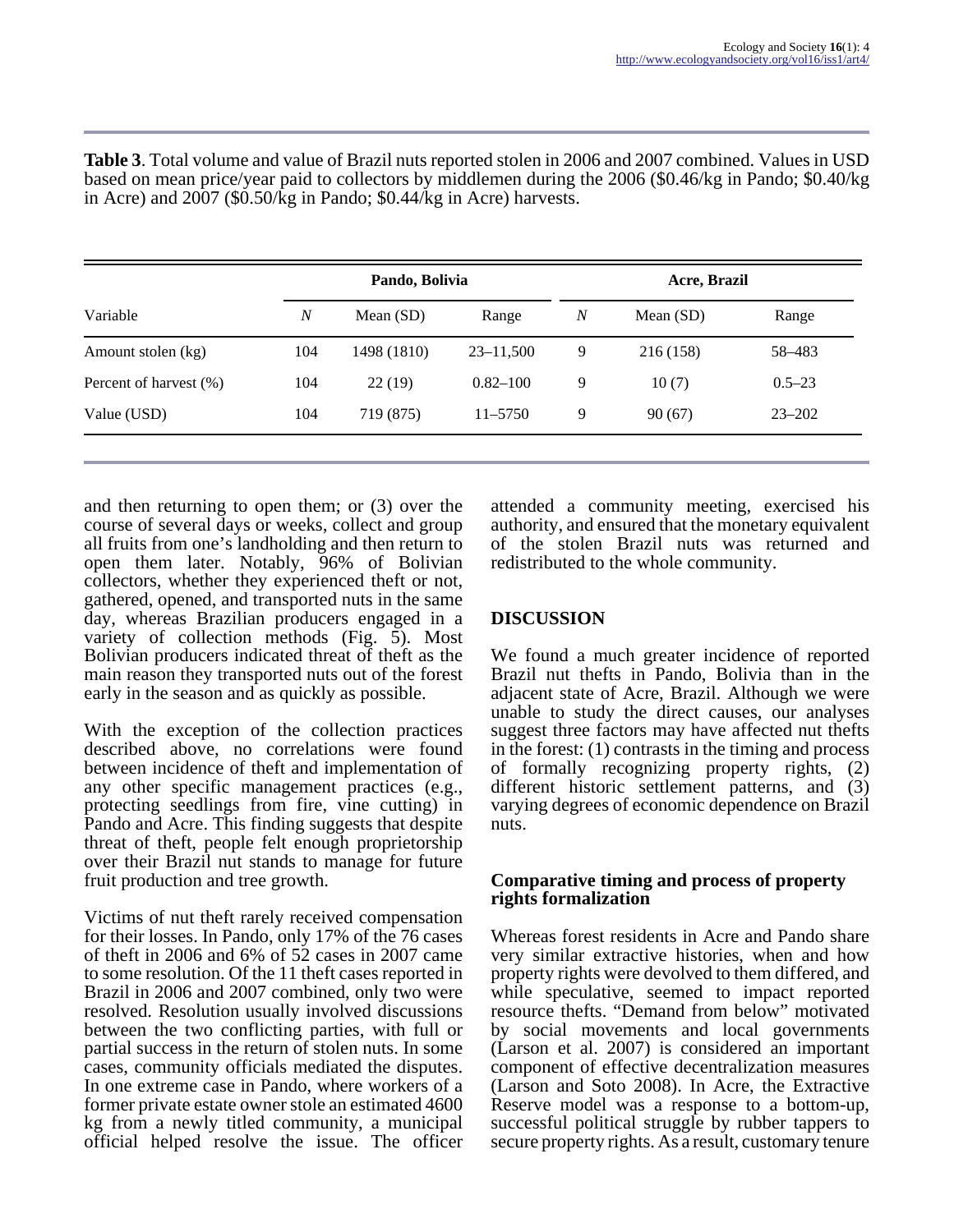|                        |     | Pando, Bolivia |               |                  | Acre, Brazil |            |  |
|------------------------|-----|----------------|---------------|------------------|--------------|------------|--|
| Variable               | N   | Mean $(SD)$    | Range         | $\boldsymbol{N}$ | Mean $(SD)$  | Range      |  |
| Amount stolen (kg)     | 104 | 1498 (1810)    | $23 - 11,500$ | 9                | 216 (158)    | 58-483     |  |
| Percent of harvest (%) | 104 | 22(19)         | $0.82 - 100$  | 9                | 10(7)        | $0.5 - 23$ |  |
| Value (USD)            | 104 | 719 (875)      | $11 - 5750$   | 9                | 90(67)       | $23 - 202$ |  |

**Table 3**. Total volume and value of Brazil nuts reported stolen in 2006 and 2007 combined. Values in USD based on mean price/year paid to collectors by middlemen during the 2006 (\$0.46/kg in Pando; \$0.40/kg in Acre) and 2007 (\$0.50/kg in Pando; \$0.44/kg in Acre) harvests.

and then returning to open them; or (3) over the course of several days or weeks, collect and group all fruits from one's landholding and then return to open them later. Notably, 96% of Bolivian collectors, whether they experienced theft or not, gathered, opened, and transported nuts in the same day, whereas Brazilian producers engaged in a variety of collection methods (Fig. 5). Most Bolivian producers indicated threat of theft as the main reason they transported nuts out of the forest early in the season and as quickly as possible.

With the exception of the collection practices described above, no correlations were found between incidence of theft and implementation of any other specific management practices (e.g., protecting seedlings from fire, vine cutting) in Pando and Acre. This finding suggests that despite threat of theft, people felt enough proprietorship over their Brazil nut stands to manage for future fruit production and tree growth.

Victims of nut theft rarely received compensation for their losses. In Pando, only 17% of the 76 cases of theft in 2006 and 6% of 52 cases in 2007 came to some resolution. Of the 11 theft cases reported in Brazil in 2006 and 2007 combined, only two were resolved. Resolution usually involved discussions between the two conflicting parties, with full or partial success in the return of stolen nuts. In some cases, community officials mediated the disputes. In one extreme case in Pando, where workers of a former private estate owner stole an estimated 4600 kg from a newly titled community, a municipal official helped resolve the issue. The officer

attended a community meeting, exercised his authority, and ensured that the monetary equivalent of the stolen Brazil nuts was returned and redistributed to the whole community.

## **DISCUSSION**

We found a much greater incidence of reported Brazil nut thefts in Pando, Bolivia than in the adjacent state of Acre, Brazil. Although we were unable to study the direct causes, our analyses suggest three factors may have affected nut thefts in the forest: (1) contrasts in the timing and process of formally recognizing property rights, (2) different historic settlement patterns, and (3) varying degrees of economic dependence on Brazil nuts.

### **Comparative timing and process of property rights formalization**

Whereas forest residents in Acre and Pando share very similar extractive histories, when and how property rights were devolved to them differed, and while speculative, seemed to impact reported resource thefts. "Demand from below" motivated by social movements and local governments (Larson et al. 2007) is considered an important component of effective decentralization measures (Larson and Soto 2008). In Acre, the Extractive Reserve model was a response to a bottom-up, successful political struggle by rubber tappers to secure property rights. As a result, customary tenure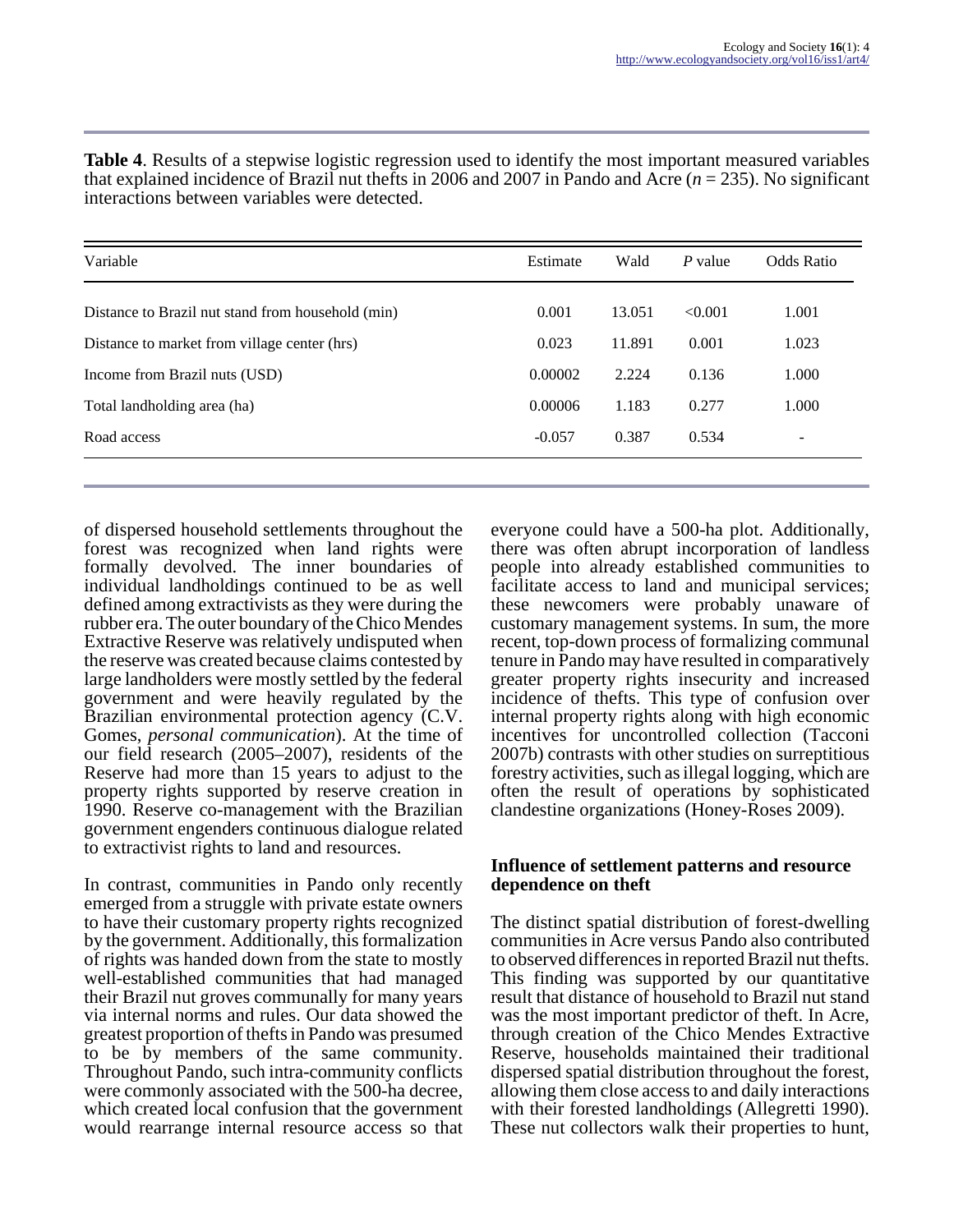| Variable                                          | Estimate | Wald   | P value | Odds Ratio               |
|---------------------------------------------------|----------|--------|---------|--------------------------|
| Distance to Brazil nut stand from household (min) | 0.001    | 13.051 | < 0.001 | 1.001                    |
| Distance to market from village center (hrs)      | 0.023    | 11.891 | 0.001   | 1.023                    |
| Income from Brazil nuts (USD)                     | 0.00002  | 2.224  | 0.136   | 1.000                    |
| Total landholding area (ha)                       | 0.00006  | 1.183  | 0.277   | 1.000                    |
| Road access                                       | $-0.057$ | 0.387  | 0.534   | $\overline{\phantom{0}}$ |

**Table 4**. Results of a stepwise logistic regression used to identify the most important measured variables that explained incidence of Brazil nut thefts in 2006 and 2007 in Pando and Acre (*n* = 235). No significant interactions between variables were detected.

of dispersed household settlements throughout the forest was recognized when land rights were formally devolved. The inner boundaries of individual landholdings continued to be as well defined among extractivists as they were during the rubber era. The outer boundary of the Chico Mendes Extractive Reserve was relatively undisputed when the reserve was created because claims contested by large landholders were mostly settled by the federal government and were heavily regulated by the Brazilian environmental protection agency (C.V. Gomes, *personal communication*). At the time of our field research (2005–2007), residents of the Reserve had more than 15 years to adjust to the property rights supported by reserve creation in 1990. Reserve co-management with the Brazilian government engenders continuous dialogue related to extractivist rights to land and resources.

In contrast, communities in Pando only recently emerged from a struggle with private estate owners to have their customary property rights recognized by the government. Additionally, this formalization of rights was handed down from the state to mostly well-established communities that had managed their Brazil nut groves communally for many years via internal norms and rules. Our data showed the greatest proportion of thefts in Pando was presumed to be by members of the same community. Throughout Pando, such intra-community conflicts were commonly associated with the 500-ha decree, which created local confusion that the government would rearrange internal resource access so that

everyone could have a 500-ha plot. Additionally, there was often abrupt incorporation of landless people into already established communities to facilitate access to land and municipal services; these newcomers were probably unaware of customary management systems. In sum, the more recent, top-down process of formalizing communal tenure in Pando may have resulted in comparatively greater property rights insecurity and increased incidence of thefts. This type of confusion over internal property rights along with high economic incentives for uncontrolled collection (Tacconi 2007b) contrasts with other studies on surreptitious forestry activities, such as illegal logging, which are often the result of operations by sophisticated clandestine organizations (Honey-Roses 2009).

### **Influence of settlement patterns and resource dependence on theft**

The distinct spatial distribution of forest-dwelling communities in Acre versus Pando also contributed to observed differences in reported Brazil nut thefts. This finding was supported by our quantitative result that distance of household to Brazil nut stand was the most important predictor of theft. In Acre, through creation of the Chico Mendes Extractive Reserve, households maintained their traditional dispersed spatial distribution throughout the forest, allowing them close access to and daily interactions with their forested landholdings (Allegretti 1990). These nut collectors walk their properties to hunt,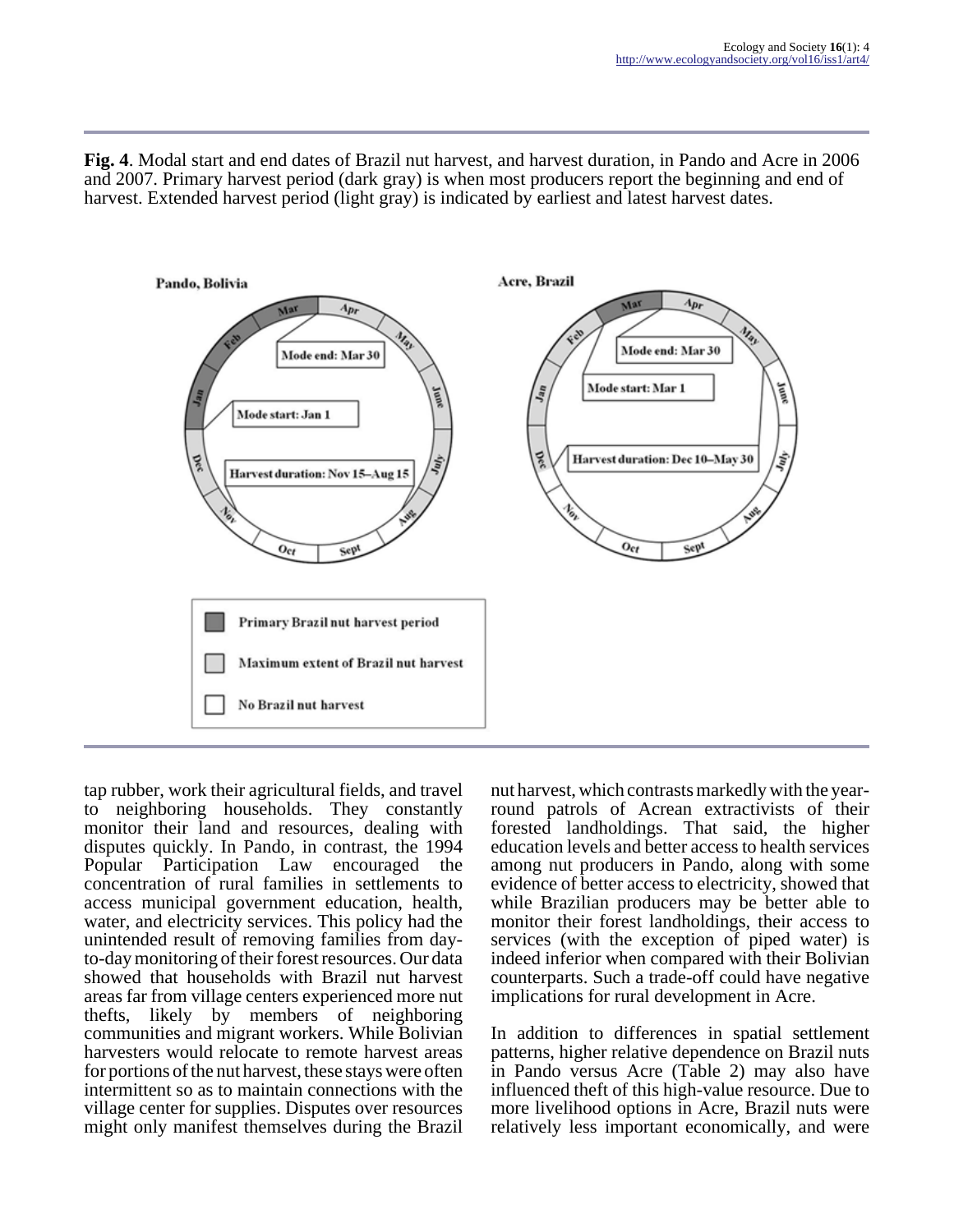**Fig. 4**. Modal start and end dates of Brazil nut harvest, and harvest duration, in Pando and Acre in 2006 and 2007. Primary harvest period (dark gray) is when most producers report the beginning and end of harvest. Extended harvest period (light gray) is indicated by earliest and latest harvest dates.



tap rubber, work their agricultural fields, and travel to neighboring households. They constantly monitor their land and resources, dealing with disputes quickly. In Pando, in contrast, the 1994 Popular Participation Law encouraged the concentration of rural families in settlements to access municipal government education, health, water, and electricity services. This policy had the unintended result of removing families from dayto-day monitoring of their forest resources. Our data showed that households with Brazil nut harvest areas far from village centers experienced more nut thefts, likely by members of neighboring communities and migrant workers. While Bolivian harvesters would relocate to remote harvest areas for portions of the nut harvest, these stays were often intermittent so as to maintain connections with the village center for supplies. Disputes over resources might only manifest themselves during the Brazil

nut harvest, which contrasts markedly with the yearround patrols of Acrean extractivists of their forested landholdings. That said, the higher education levels and better access to health services among nut producers in Pando, along with some evidence of better access to electricity, showed that while Brazilian producers may be better able to monitor their forest landholdings, their access to services (with the exception of piped water) is indeed inferior when compared with their Bolivian counterparts. Such a trade-off could have negative implications for rural development in Acre.

In addition to differences in spatial settlement patterns, higher relative dependence on Brazil nuts in Pando versus Acre (Table 2) may also have influenced theft of this high-value resource. Due to more livelihood options in Acre, Brazil nuts were relatively less important economically, and were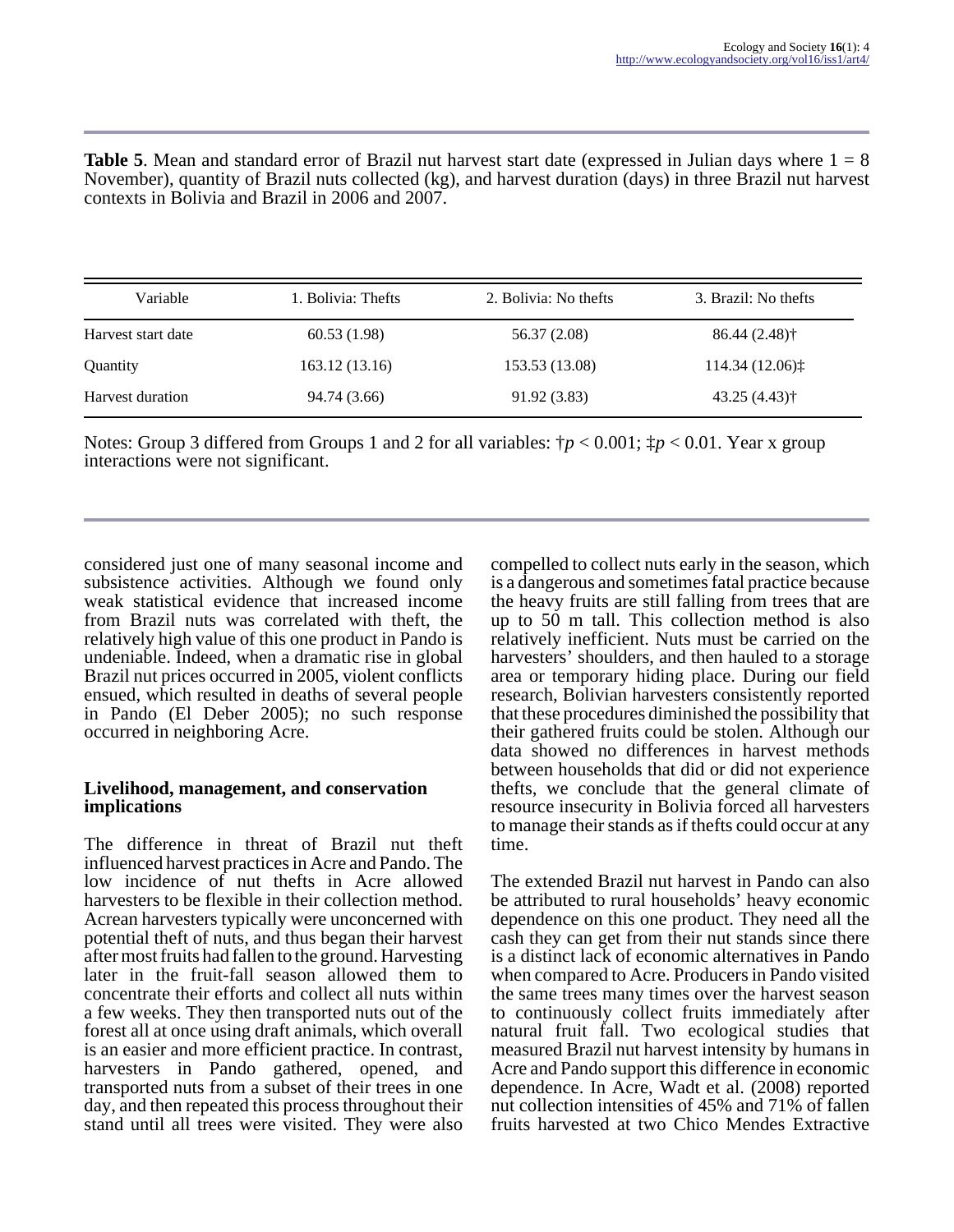| November), quantity of Brazil nuts collected (kg), and harvest duration (days) in three Brazil nut harvest |  |  |
|------------------------------------------------------------------------------------------------------------|--|--|
| contexts in Bolivia and Brazil in 2006 and 2007.                                                           |  |  |
|                                                                                                            |  |  |
|                                                                                                            |  |  |

**Table 5**. Mean and standard error of Brazil nut harvest start date (expressed in Julian days where  $1 = 8$ )

| Variable           | 1. Bolivia: Thefts | 2. Bolivia: No thefts | 3. Brazil: No thefts |
|--------------------|--------------------|-----------------------|----------------------|
| Harvest start date | 60.53 (1.98)       | 56.37 (2.08)          | 86.44 (2.48)†        |
| Quantity           | 163.12 (13.16)     | 153.53 (13.08)        | 114.34(12.06)        |
| Harvest duration   | 94.74 (3.66)       | 91.92 (3.83)          | 43.25(4.43)          |

Notes: Group 3 differed from Groups 1 and 2 for all variables: †*p* < 0.001; ‡*p* < 0.01. Year x group interactions were not significant.

considered just one of many seasonal income and subsistence activities. Although we found only weak statistical evidence that increased income from Brazil nuts was correlated with theft, the relatively high value of this one product in Pando is undeniable. Indeed, when a dramatic rise in global Brazil nut prices occurred in 2005, violent conflicts ensued, which resulted in deaths of several people in Pando (El Deber 2005); no such response occurred in neighboring Acre.

#### **Livelihood, management, and conservation implications**

The difference in threat of Brazil nut theft influenced harvest practices in Acre and Pando. The low incidence of nut thefts in Acre allowed harvesters to be flexible in their collection method. Acrean harvesters typically were unconcerned with potential theft of nuts, and thus began their harvest after most fruits had fallen to the ground. Harvesting later in the fruit-fall season allowed them to concentrate their efforts and collect all nuts within a few weeks. They then transported nuts out of the forest all at once using draft animals, which overall is an easier and more efficient practice. In contrast, harvesters in Pando gathered, opened, and transported nuts from a subset of their trees in one day, and then repeated this process throughout their stand until all trees were visited. They were also

compelled to collect nuts early in the season, which is a dangerous and sometimes fatal practice because the heavy fruits are still falling from trees that are up to 50 m tall. This collection method is also relatively inefficient. Nuts must be carried on the harvesters' shoulders, and then hauled to a storage area or temporary hiding place. During our field research, Bolivian harvesters consistently reported that these procedures diminished the possibility that their gathered fruits could be stolen. Although our data showed no differences in harvest methods between households that did or did not experience thefts, we conclude that the general climate of resource insecurity in Bolivia forced all harvesters to manage their stands as if thefts could occur at any time.

The extended Brazil nut harvest in Pando can also be attributed to rural households' heavy economic dependence on this one product. They need all the cash they can get from their nut stands since there is a distinct lack of economic alternatives in Pando when compared to Acre. Producers in Pando visited the same trees many times over the harvest season to continuously collect fruits immediately after natural fruit fall. Two ecological studies that measured Brazil nut harvest intensity by humans in Acre and Pando support this difference in economic dependence. In Acre, Wadt et al. (2008) reported nut collection intensities of 45% and 71% of fallen fruits harvested at two Chico Mendes Extractive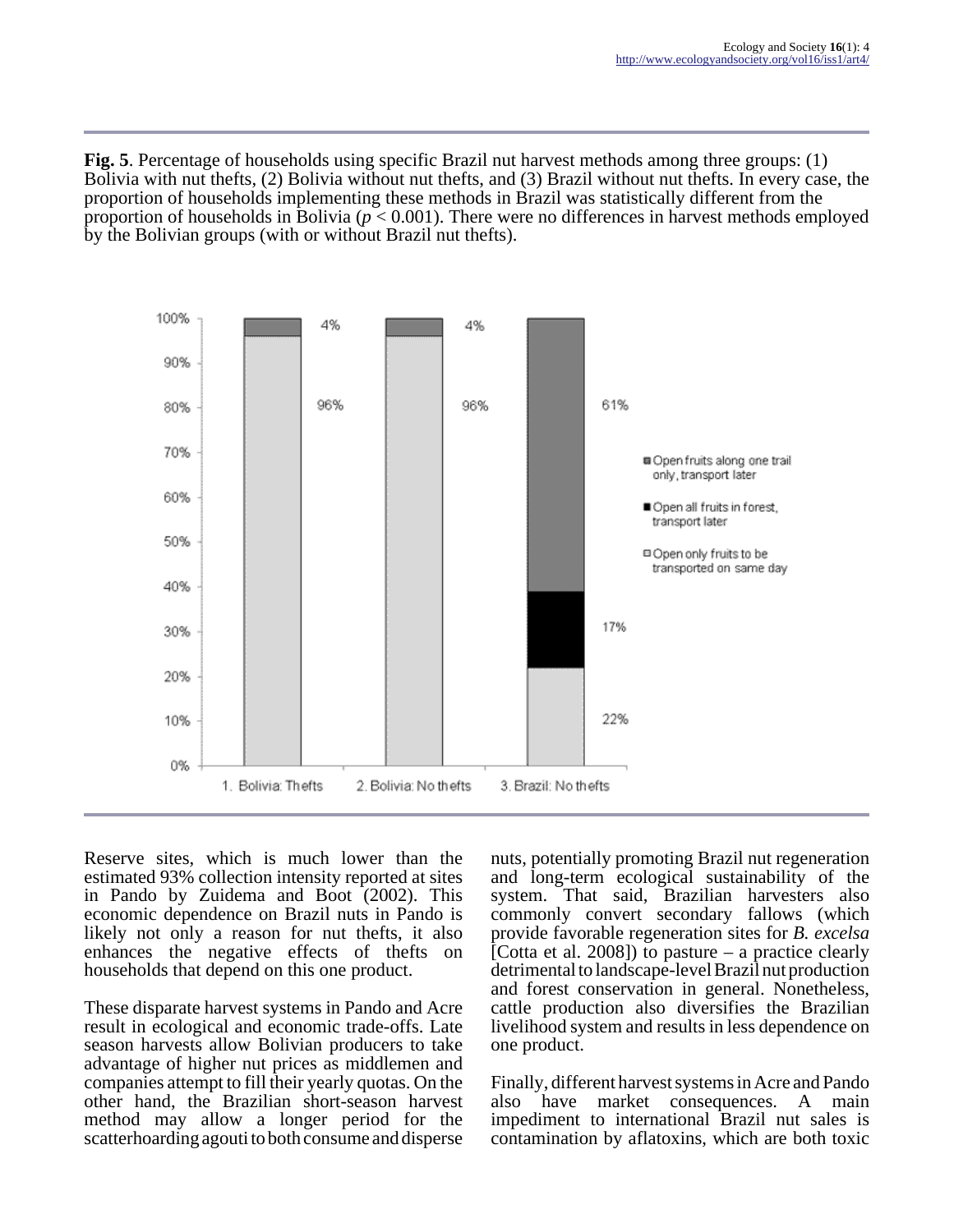**Fig. 5**. Percentage of households using specific Brazil nut harvest methods among three groups: (1) Bolivia with nut thefts, (2) Bolivia without nut thefts, and (3) Brazil without nut thefts. In every case, the proportion of households implementing these methods in Brazil was statistically different from the proportion of households in Bolivia (*p* < 0.001). There were no differences in harvest methods employed by the Bolivian groups (with or without Brazil nut thefts).



Reserve sites, which is much lower than the estimated 93% collection intensity reported at sites in Pando by Zuidema and Boot (2002). This economic dependence on Brazil nuts in Pando is likely not only a reason for nut thefts, it also enhances the negative effects of thefts on households that depend on this one product.

These disparate harvest systems in Pando and Acre result in ecological and economic trade-offs. Late season harvests allow Bolivian producers to take advantage of higher nut prices as middlemen and companies attempt to fill their yearly quotas. On the other hand, the Brazilian short-season harvest method may allow a longer period for the scatterhoarding agouti to both consume and disperse

nuts, potentially promoting Brazil nut regeneration and long-term ecological sustainability of the system. That said, Brazilian harvesters also commonly convert secondary fallows (which provide favorable regeneration sites for *B. excelsa* [Cotta et al. 2008]) to pasture – a practice clearly detrimental to landscape-level Brazil nut production and forest conservation in general. Nonetheless, cattle production also diversifies the Brazilian livelihood system and results in less dependence on one product.

Finally, different harvest systems in Acre and Pando also have market consequences. A main impediment to international Brazil nut sales is contamination by aflatoxins, which are both toxic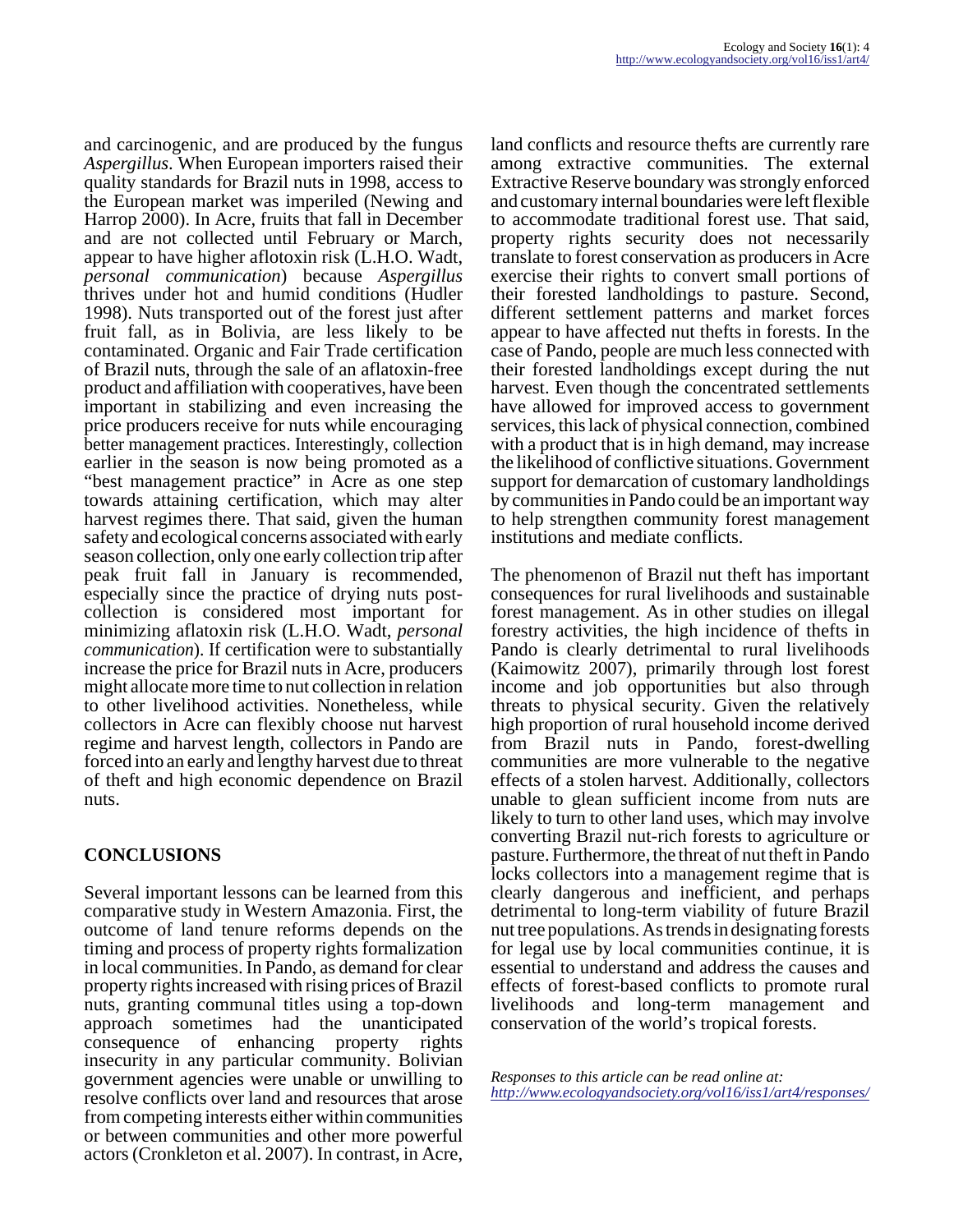and carcinogenic, and are produced by the fungus *Aspergillus*. When European importers raised their quality standards for Brazil nuts in 1998, access to the European market was imperiled (Newing and Harrop 2000). In Acre, fruits that fall in December and are not collected until February or March, appear to have higher aflotoxin risk (L.H.O. Wadt, *personal communication*) because *Aspergillus* thrives under hot and humid conditions (Hudler 1998). Nuts transported out of the forest just after fruit fall, as in Bolivia, are less likely to be contaminated. Organic and Fair Trade certification of Brazil nuts, through the sale of an aflatoxin-free product and affiliation with cooperatives, have been important in stabilizing and even increasing the price producers receive for nuts while encouraging better management practices. Interestingly, collection earlier in the season is now being promoted as a "best management practice" in Acre as one step towards attaining certification, which may alter harvest regimes there. That said, given the human safety and ecological concerns associated with early season collection, only one early collection trip after peak fruit fall in January is recommended, especially since the practice of drying nuts postcollection is considered most important for minimizing aflatoxin risk (L.H.O. Wadt, *personal communication*). If certification were to substantially increase the price for Brazil nuts in Acre, producers might allocate more time to nut collection in relation to other livelihood activities. Nonetheless, while collectors in Acre can flexibly choose nut harvest regime and harvest length, collectors in Pando are forced into an early and lengthy harvest due to threat of theft and high economic dependence on Brazil nuts.

# **CONCLUSIONS**

Several important lessons can be learned from this comparative study in Western Amazonia. First, the outcome of land tenure reforms depends on the timing and process of property rights formalization in local communities. In Pando, as demand for clear property rights increased with rising prices of Brazil nuts, granting communal titles using a top-down approach sometimes had the unanticipated consequence of enhancing property rights insecurity in any particular community. Bolivian government agencies were unable or unwilling to resolve conflicts over land and resources that arose from competing interests either within communities or between communities and other more powerful actors (Cronkleton et al. 2007). In contrast, in Acre,

land conflicts and resource thefts are currently rare among extractive communities. The external Extractive Reserve boundary was strongly enforced and customary internal boundaries were left flexible to accommodate traditional forest use. That said, property rights security does not necessarily translate to forest conservation as producers in Acre exercise their rights to convert small portions of their forested landholdings to pasture. Second, different settlement patterns and market forces appear to have affected nut thefts in forests. In the case of Pando, people are much less connected with their forested landholdings except during the nut harvest. Even though the concentrated settlements have allowed for improved access to government services, this lack of physical connection, combined with a product that is in high demand, may increase the likelihood of conflictive situations. Government support for demarcation of customary landholdings by communities in Pando could be an important way to help strengthen community forest management institutions and mediate conflicts.

The phenomenon of Brazil nut theft has important consequences for rural livelihoods and sustainable forest management. As in other studies on illegal forestry activities, the high incidence of thefts in Pando is clearly detrimental to rural livelihoods (Kaimowitz 2007), primarily through lost forest income and job opportunities but also through threats to physical security. Given the relatively high proportion of rural household income derived from Brazil nuts in Pando, forest-dwelling communities are more vulnerable to the negative effects of a stolen harvest. Additionally, collectors unable to glean sufficient income from nuts are likely to turn to other land uses, which may involve converting Brazil nut-rich forests to agriculture or pasture. Furthermore, the threat of nut theft in Pando locks collectors into a management regime that is clearly dangerous and inefficient, and perhaps detrimental to long-term viability of future Brazil nut tree populations. As trends in designating forests for legal use by local communities continue, it is essential to understand and address the causes and effects of forest-based conflicts to promote rural livelihoods and long-term management and conservation of the world's tropical forests.

*Responses to this article can be read online at: <http://www.ecologyandsociety.org/vol16/iss1/art4/responses/>*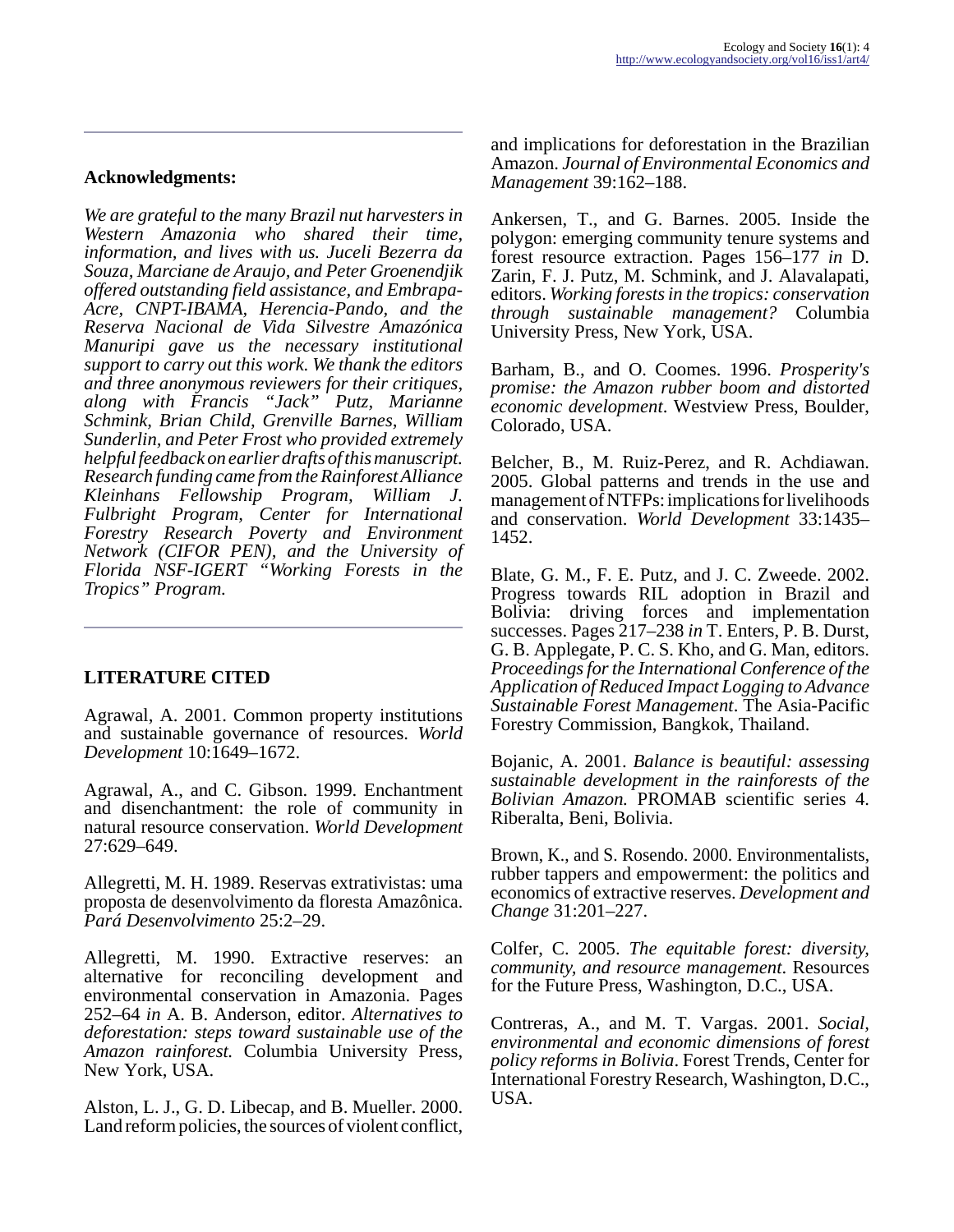## **Acknowledgments:**

*We are grateful to the many Brazil nut harvesters in Western Amazonia who shared their time, information, and lives with us. Juceli Bezerra da Souza, Marciane de Araujo, and Peter Groenendjik offered outstanding field assistance, and Embrapa-Acre, CNPT-IBAMA, Herencia-Pando, and the Reserva Nacional de Vida Silvestre Amazónica Manuripi gave us the necessary institutional support to carry out this work. We thank the editors and three anonymous reviewers for their critiques, along with Francis "Jack" Putz, Marianne Schmink, Brian Child, Grenville Barnes, William Sunderlin, and Peter Frost who provided extremely helpful feedback on earlier drafts of this manuscript. Research funding came from the Rainforest Alliance Kleinhans Fellowship Program, William J. Fulbright Program, Center for International Forestry Research Poverty and Environment Network (CIFOR PEN), and the University of Florida NSF-IGERT "Working Forests in the Tropics" Program.* 

## **LITERATURE CITED**

Agrawal, A. 2001. Common property institutions and sustainable governance of resources. *World Development* 10:1649–1672.

Agrawal, A., and C. Gibson. 1999. Enchantment and disenchantment: the role of community in natural resource conservation. *World Development* 27:629–649.

Allegretti, M. H. 1989. Reservas extrativistas: uma proposta de desenvolvimento da floresta Amazônica. *Pará Desenvolvimento* 25:2–29.

Allegretti, M. 1990. Extractive reserves: an alternative for reconciling development and environmental conservation in Amazonia. Pages 252–64 *in* A. B. Anderson, editor. *Alternatives to deforestation: steps toward sustainable use of the Amazon rainforest.* Columbia University Press, New York, USA.

Alston, L. J., G. D. Libecap, and B. Mueller. 2000. Land reform policies, the sources of violent conflict, and implications for deforestation in the Brazilian Amazon. *Journal of Environmental Economics and Management* 39:162–188.

Ankersen, T., and G. Barnes. 2005. Inside the polygon: emerging community tenure systems and forest resource extraction. Pages 156–177 *in* D. Zarin, F. J. Putz, M. Schmink, and J. Alavalapati, editors. *Working forests in the tropics: conservation through sustainable management?* Columbia University Press, New York, USA.

Barham, B., and O. Coomes. 1996. *Prosperity's promise: the Amazon rubber boom and distorted economic development*. Westview Press, Boulder, Colorado, USA.

Belcher, B., M. Ruiz-Perez, and R. Achdiawan. 2005. Global patterns and trends in the use and management of NTFPs: implications for livelihoods and conservation. *World Development* 33:1435– 1452.

Blate, G. M., F. E. Putz, and J. C. Zweede. 2002. Progress towards RIL adoption in Brazil and Bolivia: driving forces and implementation successes. Pages 217–238 *in* T. Enters, P. B. Durst, G. B. Applegate, P. C. S. Kho, and G. Man, editors. *Proceedings for the International Conference of the Application of Reduced Impact Logging to Advance Sustainable Forest Management*. The Asia-Pacific Forestry Commission, Bangkok, Thailand.

Bojanic, A. 2001. *Balance is beautiful: assessing sustainable development in the rainforests of the Bolivian Amazon.* PROMAB scientific series 4. Riberalta, Beni, Bolivia.

Brown, K., and S. Rosendo. 2000. Environmentalists, rubber tappers and empowerment: the politics and economics of extractive reserves. *Development and Change* 31:201–227.

Colfer, C. 2005. *The equitable forest: diversity, community, and resource management*. Resources for the Future Press, Washington, D.C., USA.

Contreras, A., and M. T. Vargas. 2001. *Social, environmental and economic dimensions of forest policy reforms in Bolivia*. Forest Trends, Center for International Forestry Research, Washington, D.C., USA.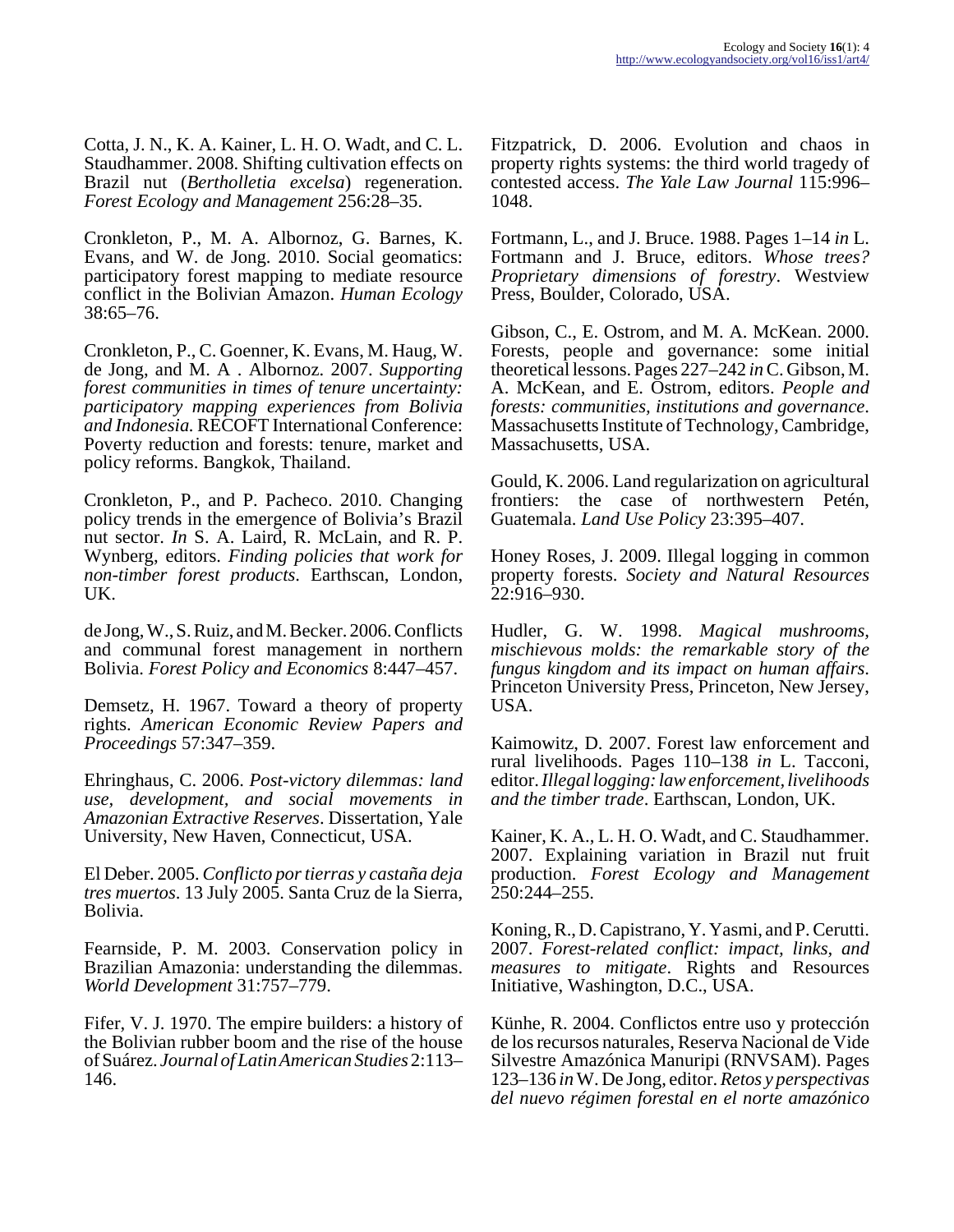Cotta, J. N., K. A. Kainer, L. H. O. Wadt, and C. L. Staudhammer. 2008. Shifting cultivation effects on Brazil nut (*Bertholletia excelsa*) regeneration. *Forest Ecology and Management* 256:28–35.

Cronkleton, P., M. A. Albornoz, G. Barnes, K. Evans, and W. de Jong. 2010. Social geomatics: participatory forest mapping to mediate resource conflict in the Bolivian Amazon. *Human Ecology* 38:65–76.

Cronkleton, P., C. Goenner, K. Evans, M. Haug, W. de Jong, and M. A . Albornoz. 2007. *Supporting forest communities in times of tenure uncertainty: participatory mapping experiences from Bolivia and Indonesia.* RECOFT International Conference: Poverty reduction and forests: tenure, market and policy reforms. Bangkok, Thailand.

Cronkleton, P., and P. Pacheco. 2010. Changing policy trends in the emergence of Bolivia's Brazil nut sector. *In* S. A. Laird, R. McLain, and R. P. Wynberg, editors. *Finding policies that work for non-timber forest products*. Earthscan, London, UK.

de Jong, W., S. Ruiz, and M. Becker. 2006. Conflicts and communal forest management in northern Bolivia. *Forest Policy and Economics* 8:447–457.

Demsetz, H. 1967. Toward a theory of property rights. *American Economic Review Papers and Proceedings* 57:347–359.

Ehringhaus, C. 2006. *Post-victory dilemmas: land use, development, and social movements in Amazonian Extractive Reserves*. Dissertation, Yale University, New Haven, Connecticut, USA.

El Deber. 2005. *Conflicto por tierras y castaña deja tres muertos*. 13 July 2005. Santa Cruz de la Sierra, Bolivia.

Fearnside, P. M. 2003. Conservation policy in Brazilian Amazonia: understanding the dilemmas. *World Development* 31:757–779.

Fifer, V. J. 1970. The empire builders: a history of the Bolivian rubber boom and the rise of the house of Suárez. *Journal of Latin American Studies* 2:113– 146.

Fitzpatrick, D. 2006. Evolution and chaos in property rights systems: the third world tragedy of contested access. *The Yale Law Journal* 115:996– 1048.

Fortmann, L., and J. Bruce. 1988. Pages 1–14 *in* L. Fortmann and J. Bruce, editors. *Whose trees? Proprietary dimensions of forestry*. Westview Press, Boulder, Colorado, USA.

Gibson, C., E. Ostrom, and M. A. McKean. 2000. Forests, people and governance: some initial theoretical lessons. Pages 227–242 *in* C. Gibson, M. A. McKean, and E. Ostrom, editors. *People and forests: communities, institutions and governance*. Massachusetts Institute of Technology, Cambridge, Massachusetts, USA.

Gould, K. 2006. Land regularization on agricultural frontiers: the case of northwestern Petén, Guatemala. *Land Use Policy* 23:395–407.

Honey Roses, J. 2009. Illegal logging in common property forests. *Society and Natural Resources* 22:916–930.

Hudler, G. W. 1998. *Magical mushrooms, mischievous molds: the remarkable story of the fungus kingdom and its impact on human affairs*. Princeton University Press, Princeton, New Jersey, USA.

Kaimowitz, D. 2007. Forest law enforcement and rural livelihoods. Pages 110–138 *in* L. Tacconi, editor. *Illegal logging: law enforcement, livelihoods and the timber trade*. Earthscan, London, UK.

Kainer, K. A., L. H. O. Wadt, and C. Staudhammer. 2007. Explaining variation in Brazil nut fruit production. *Forest Ecology and Management* 250:244–255.

Koning, R., D. Capistrano, Y. Yasmi, and P. Cerutti. 2007. *Forest-related conflict: impact, links, and measures to mitigate*. Rights and Resources Initiative, Washington, D.C., USA.

Künhe, R. 2004. Conflictos entre uso y protección de los recursos naturales, Reserva Nacional de Vide Silvestre Amazónica Manuripi (RNVSAM). Pages 123–136 *in* W. De Jong, editor. *Retos y perspectivas del nuevo régimen forestal en el norte amazónico*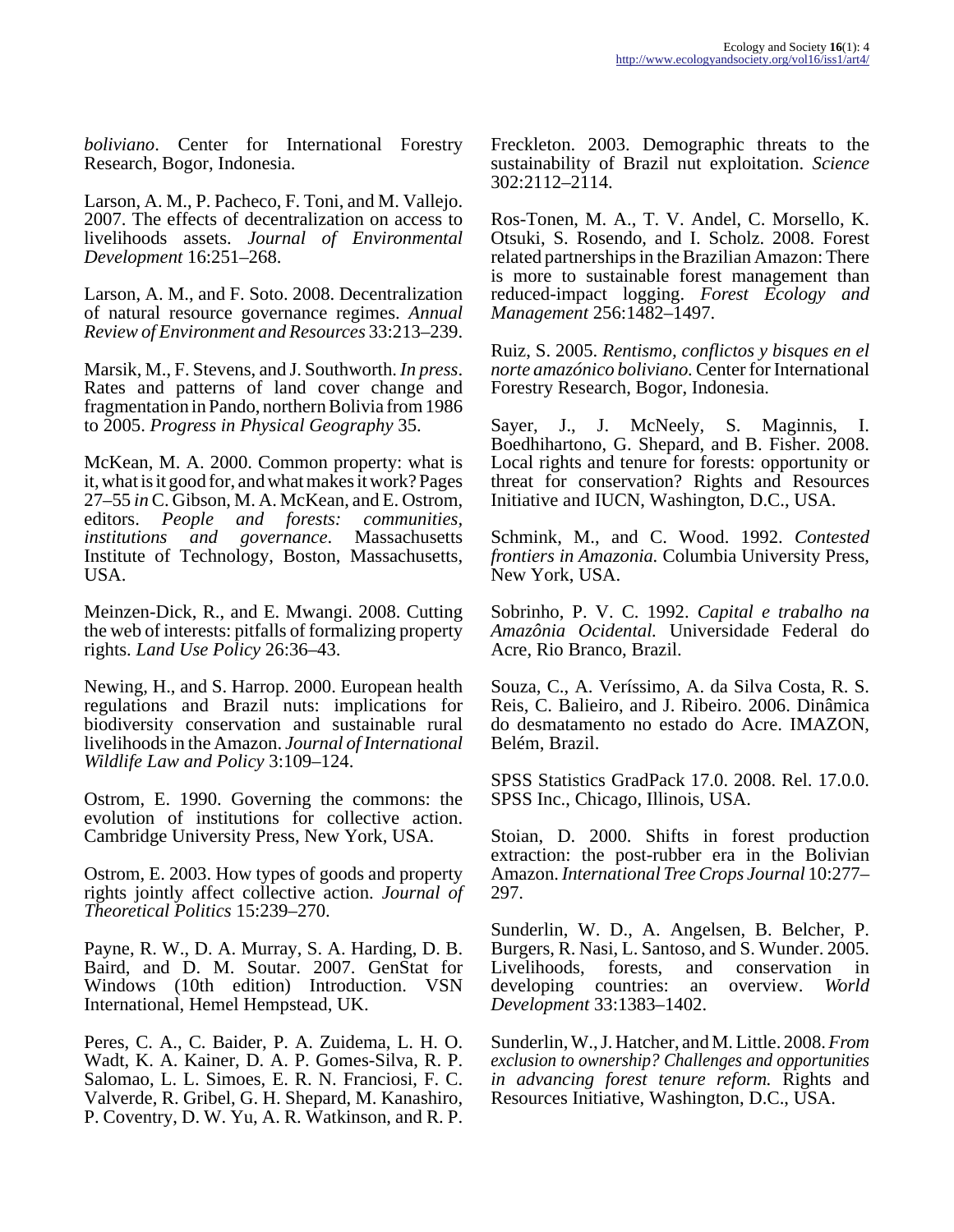*boliviano*. Center for International Forestry Research, Bogor, Indonesia.

Larson, A. M., P. Pacheco, F. Toni, and M. Vallejo. 2007. The effects of decentralization on access to livelihoods assets. *Journal of Environmental Development* 16:251–268.

Larson, A. M., and F. Soto. 2008. Decentralization of natural resource governance regimes. *Annual Review of Environment and Resources* 33:213–239.

Marsik, M., F. Stevens, and J. Southworth. *In press*. Rates and patterns of land cover change and fragmentation in Pando, northern Bolivia from 1986 to 2005. *Progress in Physical Geography* 35.

McKean, M. A. 2000. Common property: what is it, what is it good for, and what makes it work? Pages 27–55 in C. Gibson, M. A. McKean, and E. Ostrom, editors. *People and forests: communities*, editors. *People and forests: communities, institutions and governance*. Massachusetts Institute of Technology, Boston, Massachusetts, USA.

Meinzen-Dick, R., and E. Mwangi. 2008. Cutting the web of interests: pitfalls of formalizing property rights. *Land Use Policy* 26:36–43.

Newing, H., and S. Harrop. 2000. European health regulations and Brazil nuts: implications for biodiversity conservation and sustainable rural livelihoods in the Amazon. *Journal of International Wildlife Law and Policy* 3:109–124.

Ostrom, E. 1990. Governing the commons: the evolution of institutions for collective action. Cambridge University Press, New York, USA.

Ostrom, E. 2003. How types of goods and property rights jointly affect collective action. *Journal of Theoretical Politics* 15:239–270.

Payne, R. W., D. A. Murray, S. A. Harding, D. B. Baird, and D. M. Soutar. 2007. GenStat for Windows (10th edition) Introduction. VSN International, Hemel Hempstead, UK.

Peres, C. A., C. Baider, P. A. Zuidema, L. H. O. Wadt, K. A. Kainer, D. A. P. Gomes-Silva, R. P. Salomao, L. L. Simoes, E. R. N. Franciosi, F. C. Valverde, R. Gribel, G. H. Shepard, M. Kanashiro, P. Coventry, D. W. Yu, A. R. Watkinson, and R. P.

Freckleton. 2003. Demographic threats to the sustainability of Brazil nut exploitation. *Science* 302:2112–2114.

Ros-Tonen, M. A., T. V. Andel, C. Morsello, K. Otsuki, S. Rosendo, and I. Scholz. 2008. Forest related partnerships in the Brazilian Amazon: There is more to sustainable forest management than reduced-impact logging. *Forest Ecology and Management* 256:1482–1497.

Ruiz, S. 2005. *Rentismo, conflictos y bisques en el norte amazónico boliviano.* Center for International Forestry Research, Bogor, Indonesia.

Sayer, J., J. McNeely, S. Maginnis, I. Boedhihartono, G. Shepard, and B. Fisher. 2008. Local rights and tenure for forests: opportunity or threat for conservation? Rights and Resources Initiative and IUCN, Washington, D.C., USA.

Schmink, M., and C. Wood. 1992. *Contested frontiers in Amazonia.* Columbia University Press, New York, USA.

Sobrinho, P. V. C. 1992. *Capital e trabalho na Amazônia Ocidental.* Universidade Federal do Acre, Rio Branco, Brazil.

Souza, C., A. Veríssimo, A. da Silva Costa, R. S. Reis, C. Balieiro, and J. Ribeiro. 2006. Dinâmica do desmatamento no estado do Acre. IMAZON, Belém, Brazil.

SPSS Statistics GradPack 17.0. 2008. Rel. 17.0.0. SPSS Inc., Chicago, Illinois, USA.

Stoian, D. 2000. Shifts in forest production extraction: the post-rubber era in the Bolivian Amazon. *International Tree Crops Journal* 10:277– 297.

Sunderlin, W. D., A. Angelsen, B. Belcher, P. Burgers, R. Nasi, L. Santoso, and S. Wunder. 2005. Livelihoods, forests, and conservation in developing countries: an overview. *World Development* 33:1383–1402.

Sunderlin, W., J. Hatcher, and M. Little. 2008. *From exclusion to ownership? Challenges and opportunities in advancing forest tenure reform.* Rights and Resources Initiative, Washington, D.C., USA.